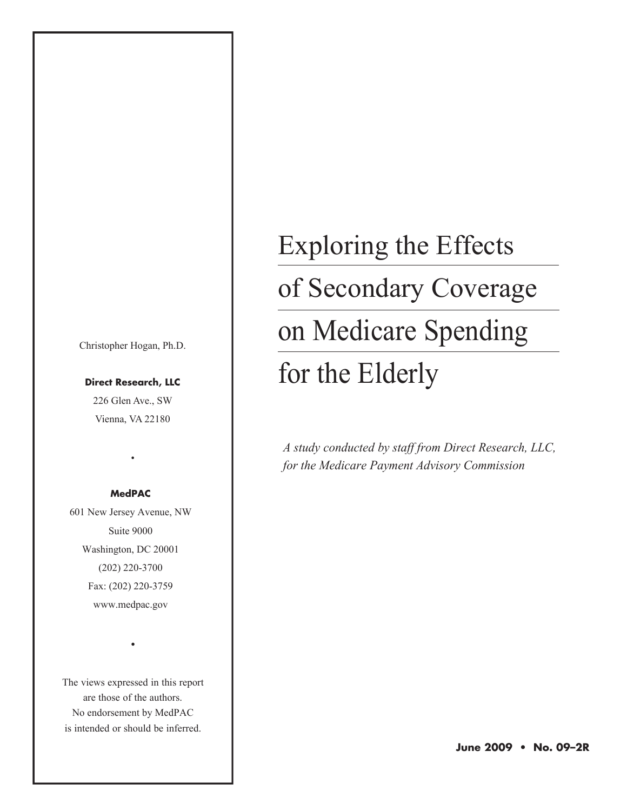Christopher Hogan, Ph.D.

**Direct Research, LLC** 226 Glen Ave., SW Vienna, VA 22180

#### **MedPAC**

•

601 New Jersey Avenue, NW Suite 9000 Washington, DC 20001 (202) 220-3700 Fax: (202) 220-3759 www.medpac.gov

The views expressed in this report are those of the authors. No endorsement by MedPAC is intended or should be inferred.

•

# Exploring the Effects of Secondary Coverage on Medicare Spending for the Elderly

*A study conducted by staff from Direct Research, LLC, for the Medicare Payment Advisory Commission*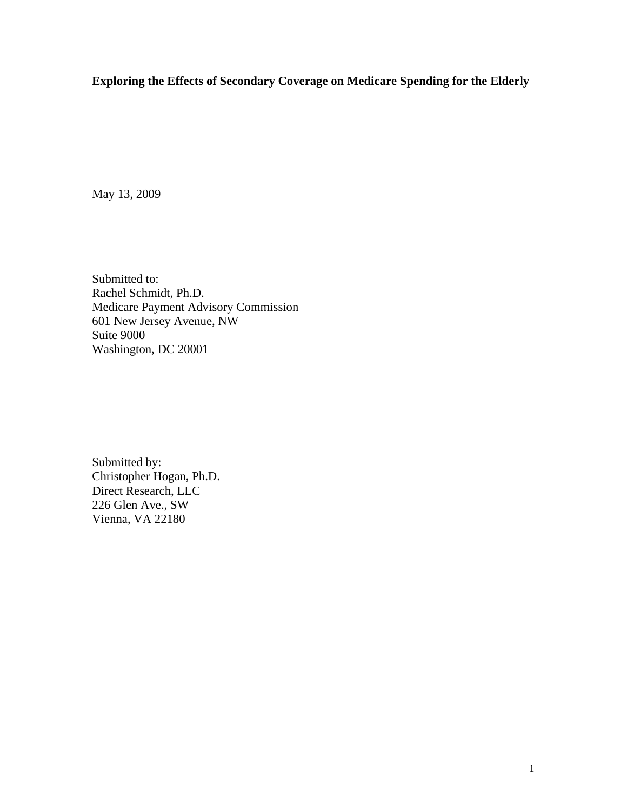## **Exploring the Effects of Secondary Coverage on Medicare Spending for the Elderly**

May 13, 2009

Submitted to: Rachel Schmidt, Ph.D. Medicare Payment Advisory Commission 601 New Jersey Avenue, NW Suite 9000 Washington, DC 20001

Submitted by: Christopher Hogan, Ph.D. Direct Research, LLC 226 Glen Ave., SW Vienna, VA 22180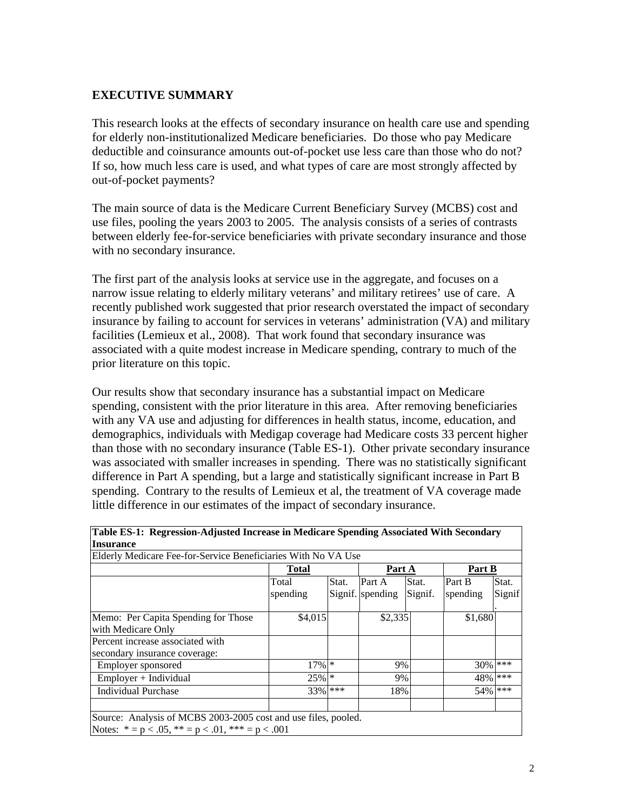### **EXECUTIVE SUMMARY**

This research looks at the effects of secondary insurance on health care use and spending for elderly non-institutionalized Medicare beneficiaries. Do those who pay Medicare deductible and coinsurance amounts out-of-pocket use less care than those who do not? If so, how much less care is used, and what types of care are most strongly affected by out-of-pocket payments?

The main source of data is the Medicare Current Beneficiary Survey (MCBS) cost and use files, pooling the years 2003 to 2005. The analysis consists of a series of contrasts between elderly fee-for-service beneficiaries with private secondary insurance and those with no secondary insurance.

The first part of the analysis looks at service use in the aggregate, and focuses on a narrow issue relating to elderly military veterans' and military retirees' use of care. A recently published work suggested that prior research overstated the impact of secondary insurance by failing to account for services in veterans' administration (VA) and military facilities (Lemieux et al., 2008). That work found that secondary insurance was associated with a quite modest increase in Medicare spending, contrary to much of the prior literature on this topic.

Our results show that secondary insurance has a substantial impact on Medicare spending, consistent with the prior literature in this area. After removing beneficiaries with any VA use and adjusting for differences in health status, income, education, and demographics, individuals with Medigap coverage had Medicare costs 33 percent higher than those with no secondary insurance (Table ES-1). Other private secondary insurance was associated with smaller increases in spending. There was no statistically significant difference in Part A spending, but a large and statistically significant increase in Part B spending. Contrary to the results of Lemieux et al, the treatment of VA coverage made little difference in our estimates of the impact of secondary insurance.

|                                                                   | Total    |       | Part A           |         | Part B   |         |
|-------------------------------------------------------------------|----------|-------|------------------|---------|----------|---------|
|                                                                   | Total    | Stat. | Part A           | Stat.   | Part B   | Stat.   |
|                                                                   | spending |       | Signif. spending | Signif. | spending | Signif  |
| Memo: Per Capita Spending for Those<br>with Medicare Only         | \$4,015  |       | \$2,335          |         | \$1,680  |         |
| Percent increase associated with<br>secondary insurance coverage: |          |       |                  |         |          |         |
| Employer sponsored                                                | $17\%$ * |       | 9%               |         | 30%      | ***     |
| Employer + Individual                                             | $25\%$ * |       | 9%               |         |          | 48% *** |
| <b>Individual Purchase</b>                                        | 33% ***  |       | 18%              |         | 54%      | ***     |
| Source: Analysis of MCBS 2003-2005 cost and use files, pooled.    |          |       |                  |         |          |         |

**Table ES-1: Regression-Adjusted Increase in Medicare Spending Associated With Secondary**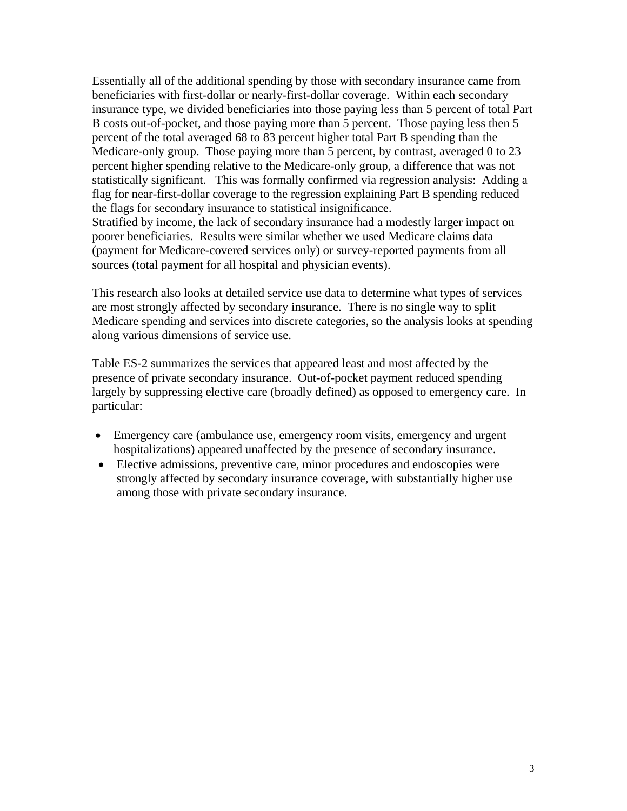Essentially all of the additional spending by those with secondary insurance came from beneficiaries with first-dollar or nearly-first-dollar coverage. Within each secondary insurance type, we divided beneficiaries into those paying less than 5 percent of total Part B costs out-of-pocket, and those paying more than 5 percent. Those paying less then 5 percent of the total averaged 68 to 83 percent higher total Part B spending than the Medicare-only group. Those paying more than 5 percent, by contrast, averaged 0 to 23 percent higher spending relative to the Medicare-only group, a difference that was not statistically significant. This was formally confirmed via regression analysis: Adding a flag for near-first-dollar coverage to the regression explaining Part B spending reduced the flags for secondary insurance to statistical insignificance. Stratified by income, the lack of secondary insurance had a modestly larger impact on poorer beneficiaries. Results were similar whether we used Medicare claims data (payment for Medicare-covered services only) or survey-reported payments from all

This research also looks at detailed service use data to determine what types of services are most strongly affected by secondary insurance. There is no single way to split Medicare spending and services into discrete categories, so the analysis looks at spending along various dimensions of service use.

sources (total payment for all hospital and physician events).

Table ES-2 summarizes the services that appeared least and most affected by the presence of private secondary insurance. Out-of-pocket payment reduced spending largely by suppressing elective care (broadly defined) as opposed to emergency care. In particular:

- Emergency care (ambulance use, emergency room visits, emergency and urgent hospitalizations) appeared unaffected by the presence of secondary insurance.
- Elective admissions, preventive care, minor procedures and endoscopies were strongly affected by secondary insurance coverage, with substantially higher use among those with private secondary insurance.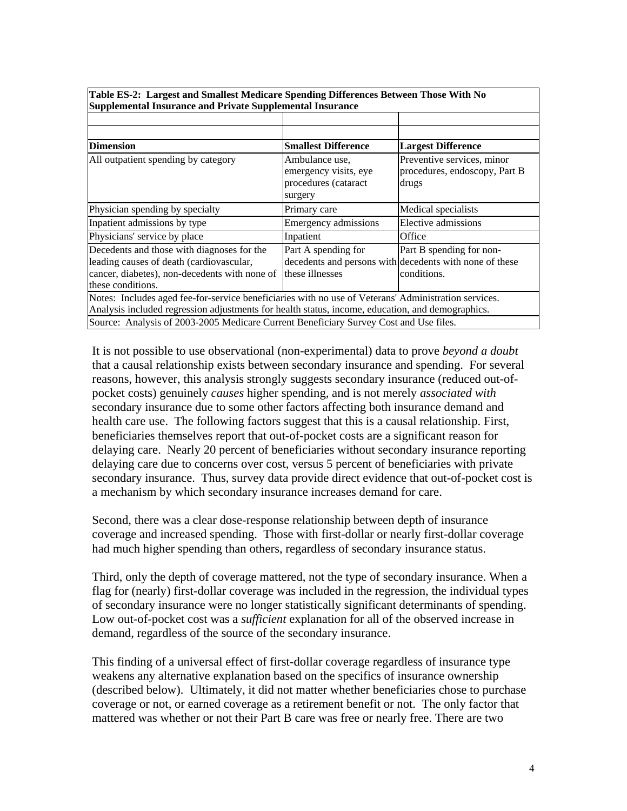| Supplemental Insurance and Private Supplemental Insurance                                                                                                                                                |                                                                            |                                                                                                    |  |  |  |  |  |  |  |
|----------------------------------------------------------------------------------------------------------------------------------------------------------------------------------------------------------|----------------------------------------------------------------------------|----------------------------------------------------------------------------------------------------|--|--|--|--|--|--|--|
|                                                                                                                                                                                                          |                                                                            |                                                                                                    |  |  |  |  |  |  |  |
|                                                                                                                                                                                                          |                                                                            |                                                                                                    |  |  |  |  |  |  |  |
| <b>Dimension</b>                                                                                                                                                                                         | <b>Smallest Difference</b>                                                 | <b>Largest Difference</b>                                                                          |  |  |  |  |  |  |  |
| All outpatient spending by category                                                                                                                                                                      | Ambulance use,<br>emergency visits, eye<br>procedures (cataract<br>surgery | Preventive services, minor<br>procedures, endoscopy, Part B<br>drugs                               |  |  |  |  |  |  |  |
| Physician spending by specialty                                                                                                                                                                          | Primary care                                                               | Medical specialists                                                                                |  |  |  |  |  |  |  |
| Inpatient admissions by type                                                                                                                                                                             | Emergency admissions                                                       | Elective admissions                                                                                |  |  |  |  |  |  |  |
| Physicians' service by place                                                                                                                                                                             | Inpatient                                                                  | Office                                                                                             |  |  |  |  |  |  |  |
| Decedents and those with diagnoses for the<br>leading causes of death (cardiovascular,<br>cancer, diabetes), non-decedents with none of<br>these conditions.                                             | Part A spending for<br>these illnesses                                     | Part B spending for non-<br>decedents and persons with decedents with none of these<br>conditions. |  |  |  |  |  |  |  |
| Notes: Includes aged fee-for-service beneficiaries with no use of Veterans' Administration services.<br>Analysis included regression adjustments for health status, income, education, and demographics. |                                                                            |                                                                                                    |  |  |  |  |  |  |  |
| Source: Analysis of 2003-2005 Medicare Current Beneficiary Survey Cost and Use files.                                                                                                                    |                                                                            |                                                                                                    |  |  |  |  |  |  |  |

**Table ES-2: Largest and Smallest Medicare Spending Differences Between Those With No Supplemental Insurance and Private Supplemental Insurance** 

It is not possible to use observational (non-experimental) data to prove *beyond a doubt* that a causal relationship exists between secondary insurance and spending. For several reasons, however, this analysis strongly suggests secondary insurance (reduced out-ofpocket costs) genuinely *causes* higher spending, and is not merely *associated with* secondary insurance due to some other factors affecting both insurance demand and health care use. The following factors suggest that this is a causal relationship. First, beneficiaries themselves report that out-of-pocket costs are a significant reason for delaying care. Nearly 20 percent of beneficiaries without secondary insurance reporting delaying care due to concerns over cost, versus 5 percent of beneficiaries with private secondary insurance. Thus, survey data provide direct evidence that out-of-pocket cost is a mechanism by which secondary insurance increases demand for care.

Second, there was a clear dose-response relationship between depth of insurance coverage and increased spending. Those with first-dollar or nearly first-dollar coverage had much higher spending than others, regardless of secondary insurance status.

Third, only the depth of coverage mattered, not the type of secondary insurance. When a flag for (nearly) first-dollar coverage was included in the regression, the individual types of secondary insurance were no longer statistically significant determinants of spending. Low out-of-pocket cost was a *sufficient* explanation for all of the observed increase in demand, regardless of the source of the secondary insurance.

This finding of a universal effect of first-dollar coverage regardless of insurance type weakens any alternative explanation based on the specifics of insurance ownership (described below). Ultimately, it did not matter whether beneficiaries chose to purchase coverage or not, or earned coverage as a retirement benefit or not. The only factor that mattered was whether or not their Part B care was free or nearly free. There are two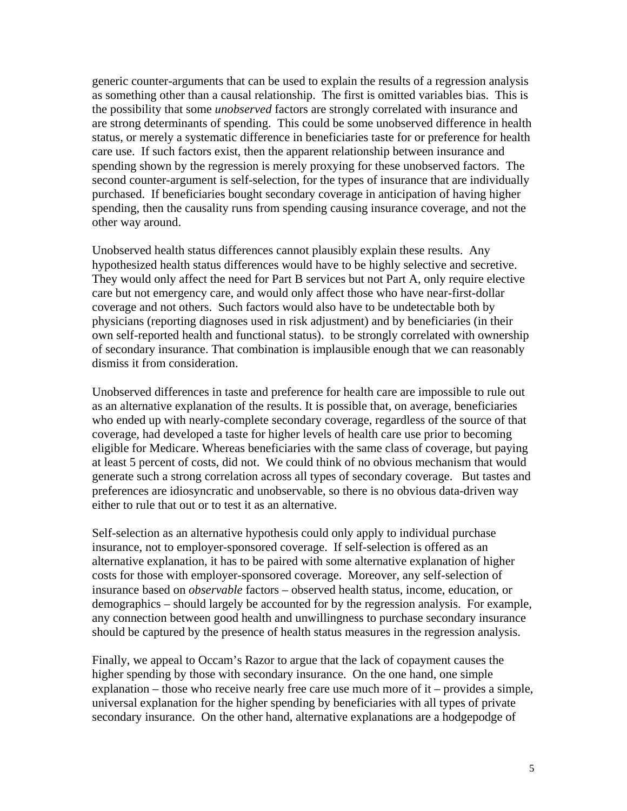generic counter-arguments that can be used to explain the results of a regression analysis as something other than a causal relationship. The first is omitted variables bias. This is the possibility that some *unobserved* factors are strongly correlated with insurance and are strong determinants of spending. This could be some unobserved difference in health status, or merely a systematic difference in beneficiaries taste for or preference for health care use. If such factors exist, then the apparent relationship between insurance and spending shown by the regression is merely proxying for these unobserved factors. The second counter-argument is self-selection, for the types of insurance that are individually purchased. If beneficiaries bought secondary coverage in anticipation of having higher spending, then the causality runs from spending causing insurance coverage, and not the other way around.

Unobserved health status differences cannot plausibly explain these results. Any hypothesized health status differences would have to be highly selective and secretive. They would only affect the need for Part B services but not Part A, only require elective care but not emergency care, and would only affect those who have near-first-dollar coverage and not others. Such factors would also have to be undetectable both by physicians (reporting diagnoses used in risk adjustment) and by beneficiaries (in their own self-reported health and functional status). to be strongly correlated with ownership of secondary insurance. That combination is implausible enough that we can reasonably dismiss it from consideration.

Unobserved differences in taste and preference for health care are impossible to rule out as an alternative explanation of the results. It is possible that, on average, beneficiaries who ended up with nearly-complete secondary coverage, regardless of the source of that coverage, had developed a taste for higher levels of health care use prior to becoming eligible for Medicare. Whereas beneficiaries with the same class of coverage, but paying at least 5 percent of costs, did not. We could think of no obvious mechanism that would generate such a strong correlation across all types of secondary coverage. But tastes and preferences are idiosyncratic and unobservable, so there is no obvious data-driven way either to rule that out or to test it as an alternative.

Self-selection as an alternative hypothesis could only apply to individual purchase insurance, not to employer-sponsored coverage. If self-selection is offered as an alternative explanation, it has to be paired with some alternative explanation of higher costs for those with employer-sponsored coverage. Moreover, any self-selection of insurance based on *observable* factors – observed health status, income, education, or demographics – should largely be accounted for by the regression analysis. For example, any connection between good health and unwillingness to purchase secondary insurance should be captured by the presence of health status measures in the regression analysis.

Finally, we appeal to Occam's Razor to argue that the lack of copayment causes the higher spending by those with secondary insurance. On the one hand, one simple explanation – those who receive nearly free care use much more of it – provides a simple, universal explanation for the higher spending by beneficiaries with all types of private secondary insurance. On the other hand, alternative explanations are a hodgepodge of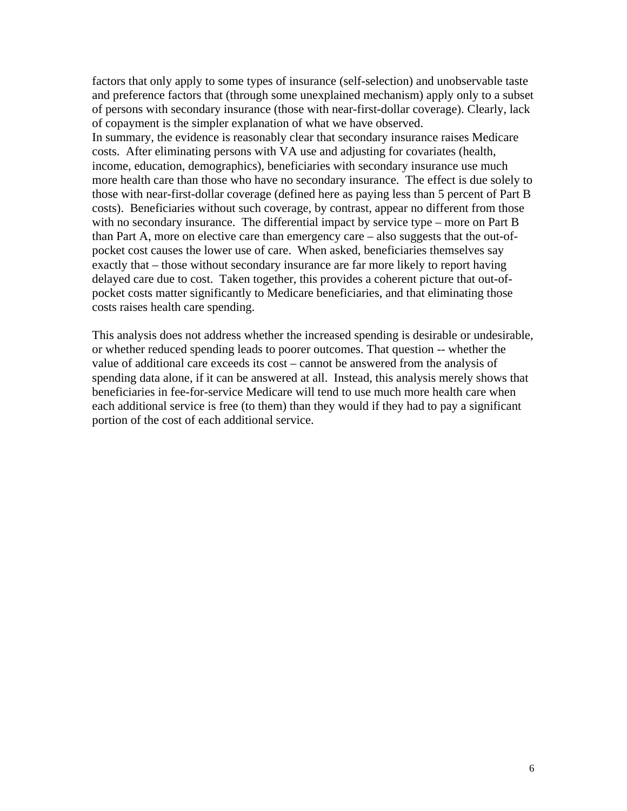factors that only apply to some types of insurance (self-selection) and unobservable taste and preference factors that (through some unexplained mechanism) apply only to a subset of persons with secondary insurance (those with near-first-dollar coverage). Clearly, lack of copayment is the simpler explanation of what we have observed. In summary, the evidence is reasonably clear that secondary insurance raises Medicare costs. After eliminating persons with VA use and adjusting for covariates (health, income, education, demographics), beneficiaries with secondary insurance use much more health care than those who have no secondary insurance. The effect is due solely to those with near-first-dollar coverage (defined here as paying less than 5 percent of Part B costs). Beneficiaries without such coverage, by contrast, appear no different from those with no secondary insurance. The differential impact by service type – more on Part B than Part A, more on elective care than emergency care – also suggests that the out-ofpocket cost causes the lower use of care. When asked, beneficiaries themselves say exactly that – those without secondary insurance are far more likely to report having delayed care due to cost. Taken together, this provides a coherent picture that out-ofpocket costs matter significantly to Medicare beneficiaries, and that eliminating those costs raises health care spending.

This analysis does not address whether the increased spending is desirable or undesirable, or whether reduced spending leads to poorer outcomes. That question -- whether the value of additional care exceeds its cost – cannot be answered from the analysis of spending data alone, if it can be answered at all. Instead, this analysis merely shows that beneficiaries in fee-for-service Medicare will tend to use much more health care when each additional service is free (to them) than they would if they had to pay a significant portion of the cost of each additional service.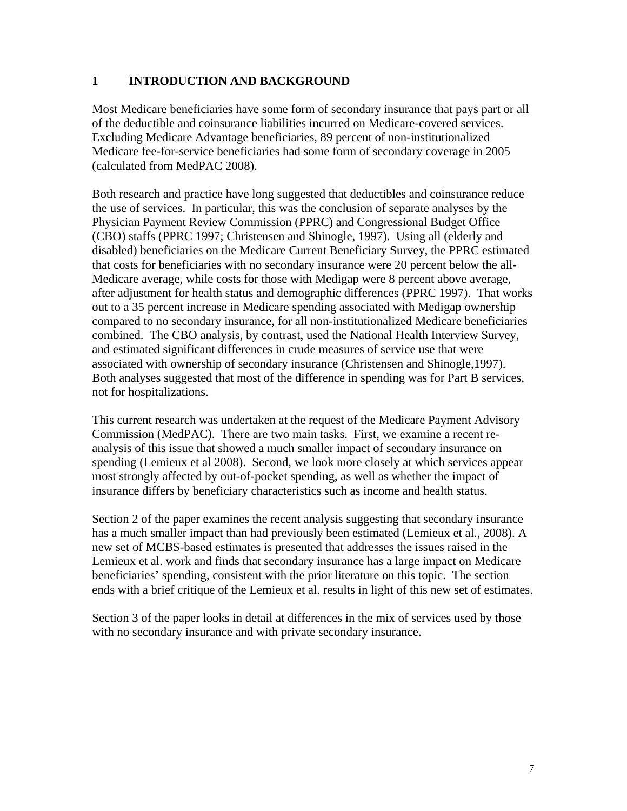#### **1 INTRODUCTION AND BACKGROUND**

Most Medicare beneficiaries have some form of secondary insurance that pays part or all of the deductible and coinsurance liabilities incurred on Medicare-covered services. Excluding Medicare Advantage beneficiaries, 89 percent of non-institutionalized Medicare fee-for-service beneficiaries had some form of secondary coverage in 2005 (calculated from MedPAC 2008).

Both research and practice have long suggested that deductibles and coinsurance reduce the use of services. In particular, this was the conclusion of separate analyses by the Physician Payment Review Commission (PPRC) and Congressional Budget Office (CBO) staffs (PPRC 1997; Christensen and Shinogle, 1997). Using all (elderly and disabled) beneficiaries on the Medicare Current Beneficiary Survey, the PPRC estimated that costs for beneficiaries with no secondary insurance were 20 percent below the all-Medicare average, while costs for those with Medigap were 8 percent above average, after adjustment for health status and demographic differences (PPRC 1997). That works out to a 35 percent increase in Medicare spending associated with Medigap ownership compared to no secondary insurance, for all non-institutionalized Medicare beneficiaries combined. The CBO analysis, by contrast, used the National Health Interview Survey, and estimated significant differences in crude measures of service use that were associated with ownership of secondary insurance (Christensen and Shinogle,1997). Both analyses suggested that most of the difference in spending was for Part B services, not for hospitalizations.

This current research was undertaken at the request of the Medicare Payment Advisory Commission (MedPAC). There are two main tasks. First, we examine a recent reanalysis of this issue that showed a much smaller impact of secondary insurance on spending (Lemieux et al 2008). Second, we look more closely at which services appear most strongly affected by out-of-pocket spending, as well as whether the impact of insurance differs by beneficiary characteristics such as income and health status.

Section 2 of the paper examines the recent analysis suggesting that secondary insurance has a much smaller impact than had previously been estimated (Lemieux et al., 2008). A new set of MCBS-based estimates is presented that addresses the issues raised in the Lemieux et al. work and finds that secondary insurance has a large impact on Medicare beneficiaries' spending, consistent with the prior literature on this topic. The section ends with a brief critique of the Lemieux et al. results in light of this new set of estimates.

Section 3 of the paper looks in detail at differences in the mix of services used by those with no secondary insurance and with private secondary insurance.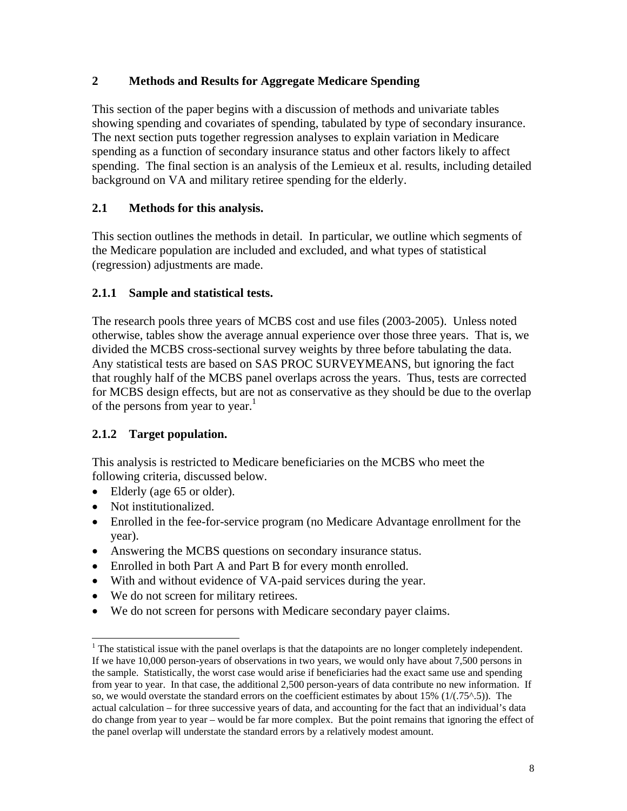## **2 Methods and Results for Aggregate Medicare Spending**

This section of the paper begins with a discussion of methods and univariate tables showing spending and covariates of spending, tabulated by type of secondary insurance. The next section puts together regression analyses to explain variation in Medicare spending as a function of secondary insurance status and other factors likely to affect spending. The final section is an analysis of the Lemieux et al. results, including detailed background on VA and military retiree spending for the elderly.

## **2.1 Methods for this analysis.**

This section outlines the methods in detail. In particular, we outline which segments of the Medicare population are included and excluded, and what types of statistical (regression) adjustments are made.

## **2.1.1 Sample and statistical tests.**

The research pools three years of MCBS cost and use files (2003-2005). Unless noted otherwise, tables show the average annual experience over those three years. That is, we divided the MCBS cross-sectional survey weights by three before tabulating the data. Any statistical tests are based on SAS PROC SURVEYMEANS, but ignoring the fact that roughly half of the MCBS panel overlaps across the years. Thus, tests are corrected for MCBS design effects, but are not as conservative as they should be due to the overlap of the persons from year to year.<sup>1</sup>

## **2.1.2 Target population.**

This analysis is restricted to Medicare beneficiaries on the MCBS who meet the following criteria, discussed below.

- Elderly (age 65 or older).
- Not institutionalized.

 $\overline{a}$ 

- Enrolled in the fee-for-service program (no Medicare Advantage enrollment for the year).
- Answering the MCBS questions on secondary insurance status.
- Enrolled in both Part A and Part B for every month enrolled.
- With and without evidence of VA-paid services during the year.
- We do not screen for military retirees.
- We do not screen for persons with Medicare secondary payer claims.

 $<sup>1</sup>$  The statistical issue with the panel overlaps is that the datapoints are no longer completely independent.</sup> If we have 10,000 person-years of observations in two years, we would only have about 7,500 persons in the sample. Statistically, the worst case would arise if beneficiaries had the exact same use and spending from year to year. In that case, the additional 2,500 person-years of data contribute no new information. If so, we would overstate the standard errors on the coefficient estimates by about 15%  $(1/(.75^{\circ}.5))$ . The actual calculation – for three successive years of data, and accounting for the fact that an individual's data do change from year to year – would be far more complex. But the point remains that ignoring the effect of the panel overlap will understate the standard errors by a relatively modest amount.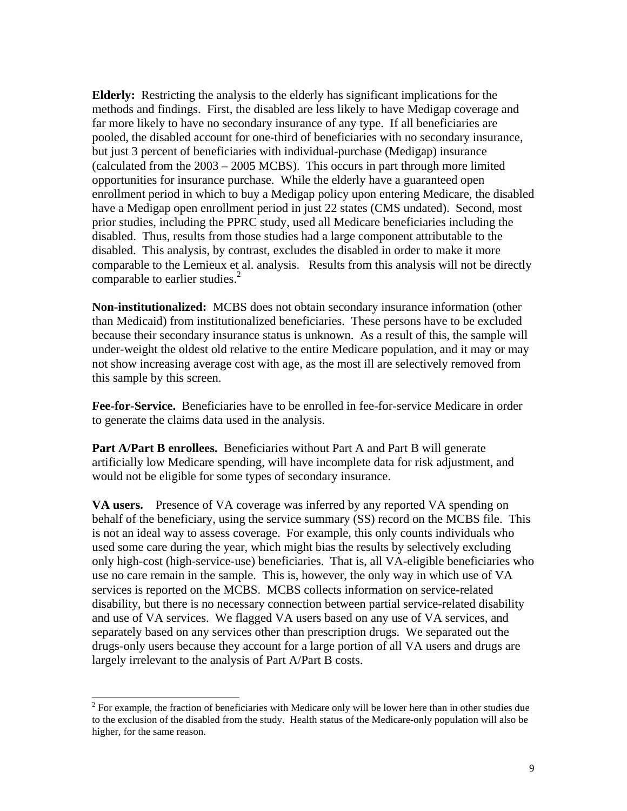**Elderly:** Restricting the analysis to the elderly has significant implications for the methods and findings. First, the disabled are less likely to have Medigap coverage and far more likely to have no secondary insurance of any type. If all beneficiaries are pooled, the disabled account for one-third of beneficiaries with no secondary insurance, but just 3 percent of beneficiaries with individual-purchase (Medigap) insurance (calculated from the 2003 – 2005 MCBS). This occurs in part through more limited opportunities for insurance purchase. While the elderly have a guaranteed open enrollment period in which to buy a Medigap policy upon entering Medicare, the disabled have a Medigap open enrollment period in just 22 states (CMS undated). Second, most prior studies, including the PPRC study, used all Medicare beneficiaries including the disabled. Thus, results from those studies had a large component attributable to the disabled. This analysis, by contrast, excludes the disabled in order to make it more comparable to the Lemieux et al. analysis. Results from this analysis will not be directly comparable to earlier studies. $2^2$ 

**Non-institutionalized:** MCBS does not obtain secondary insurance information (other than Medicaid) from institutionalized beneficiaries. These persons have to be excluded because their secondary insurance status is unknown. As a result of this, the sample will under-weight the oldest old relative to the entire Medicare population, and it may or may not show increasing average cost with age, as the most ill are selectively removed from this sample by this screen.

**Fee-for-Service.** Beneficiaries have to be enrolled in fee-for-service Medicare in order to generate the claims data used in the analysis.

**Part A/Part B enrollees.** Beneficiaries without Part A and Part B will generate artificially low Medicare spending, will have incomplete data for risk adjustment, and would not be eligible for some types of secondary insurance.

**VA users.** Presence of VA coverage was inferred by any reported VA spending on behalf of the beneficiary, using the service summary (SS) record on the MCBS file. This is not an ideal way to assess coverage. For example, this only counts individuals who used some care during the year, which might bias the results by selectively excluding only high-cost (high-service-use) beneficiaries. That is, all VA-eligible beneficiaries who use no care remain in the sample. This is, however, the only way in which use of VA services is reported on the MCBS. MCBS collects information on service-related disability, but there is no necessary connection between partial service-related disability and use of VA services. We flagged VA users based on any use of VA services, and separately based on any services other than prescription drugs. We separated out the drugs-only users because they account for a large portion of all VA users and drugs are largely irrelevant to the analysis of Part A/Part B costs.

<sup>&</sup>lt;sup>2</sup> For example, the fraction of beneficiaries with Medicare only will be lower here than in other studies due to the exclusion of the disabled from the study. Health status of the Medicare-only population will also be higher, for the same reason.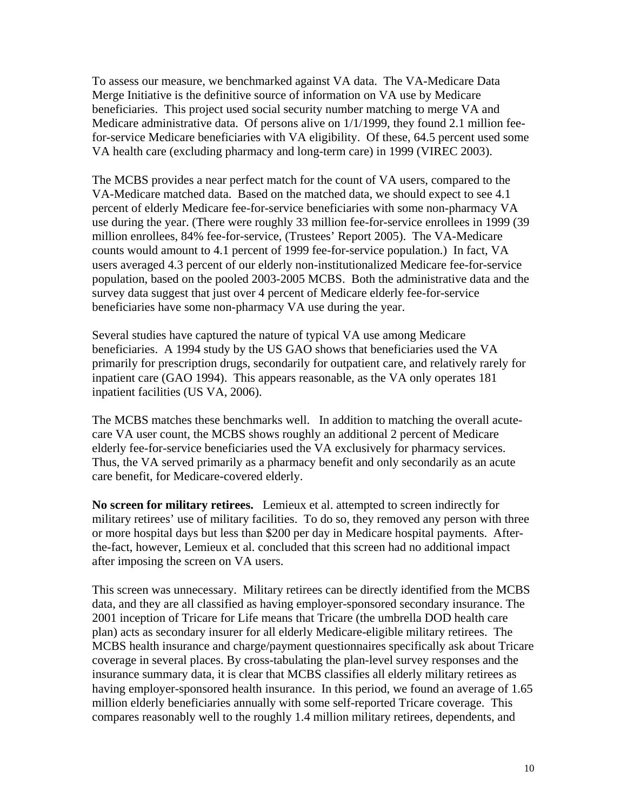To assess our measure, we benchmarked against VA data. The VA-Medicare Data Merge Initiative is the definitive source of information on VA use by Medicare beneficiaries. This project used social security number matching to merge VA and Medicare administrative data. Of persons alive on 1/1/1999, they found 2.1 million feefor-service Medicare beneficiaries with VA eligibility. Of these, 64.5 percent used some VA health care (excluding pharmacy and long-term care) in 1999 (VIREC 2003).

The MCBS provides a near perfect match for the count of VA users, compared to the VA-Medicare matched data. Based on the matched data, we should expect to see 4.1 percent of elderly Medicare fee-for-service beneficiaries with some non-pharmacy VA use during the year. (There were roughly 33 million fee-for-service enrollees in 1999 (39 million enrollees, 84% fee-for-service, (Trustees' Report 2005). The VA-Medicare counts would amount to 4.1 percent of 1999 fee-for-service population.) In fact, VA users averaged 4.3 percent of our elderly non-institutionalized Medicare fee-for-service population, based on the pooled 2003-2005 MCBS. Both the administrative data and the survey data suggest that just over 4 percent of Medicare elderly fee-for-service beneficiaries have some non-pharmacy VA use during the year.

Several studies have captured the nature of typical VA use among Medicare beneficiaries. A 1994 study by the US GAO shows that beneficiaries used the VA primarily for prescription drugs, secondarily for outpatient care, and relatively rarely for inpatient care (GAO 1994). This appears reasonable, as the VA only operates 181 inpatient facilities (US VA, 2006).

The MCBS matches these benchmarks well. In addition to matching the overall acutecare VA user count, the MCBS shows roughly an additional 2 percent of Medicare elderly fee-for-service beneficiaries used the VA exclusively for pharmacy services. Thus, the VA served primarily as a pharmacy benefit and only secondarily as an acute care benefit, for Medicare-covered elderly.

**No screen for military retirees.** Lemieux et al. attempted to screen indirectly for military retirees' use of military facilities. To do so, they removed any person with three or more hospital days but less than \$200 per day in Medicare hospital payments. Afterthe-fact, however, Lemieux et al. concluded that this screen had no additional impact after imposing the screen on VA users.

This screen was unnecessary. Military retirees can be directly identified from the MCBS data, and they are all classified as having employer-sponsored secondary insurance. The 2001 inception of Tricare for Life means that Tricare (the umbrella DOD health care plan) acts as secondary insurer for all elderly Medicare-eligible military retirees. The MCBS health insurance and charge/payment questionnaires specifically ask about Tricare coverage in several places. By cross-tabulating the plan-level survey responses and the insurance summary data, it is clear that MCBS classifies all elderly military retirees as having employer-sponsored health insurance. In this period, we found an average of 1.65 million elderly beneficiaries annually with some self-reported Tricare coverage. This compares reasonably well to the roughly 1.4 million military retirees, dependents, and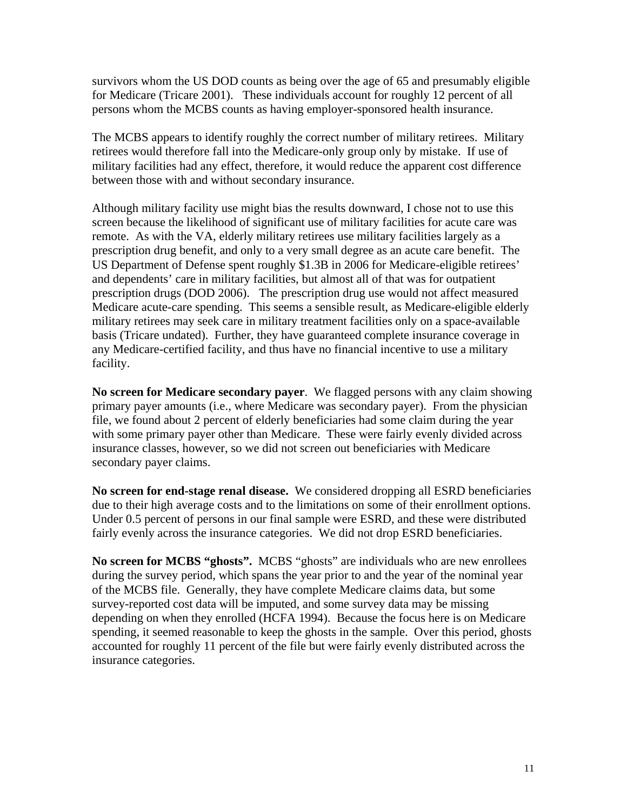survivors whom the US DOD counts as being over the age of 65 and presumably eligible for Medicare (Tricare 2001). These individuals account for roughly 12 percent of all persons whom the MCBS counts as having employer-sponsored health insurance.

The MCBS appears to identify roughly the correct number of military retirees. Military retirees would therefore fall into the Medicare-only group only by mistake. If use of military facilities had any effect, therefore, it would reduce the apparent cost difference between those with and without secondary insurance.

Although military facility use might bias the results downward, I chose not to use this screen because the likelihood of significant use of military facilities for acute care was remote. As with the VA, elderly military retirees use military facilities largely as a prescription drug benefit, and only to a very small degree as an acute care benefit. The US Department of Defense spent roughly \$1.3B in 2006 for Medicare-eligible retirees' and dependents' care in military facilities, but almost all of that was for outpatient prescription drugs (DOD 2006). The prescription drug use would not affect measured Medicare acute-care spending. This seems a sensible result, as Medicare-eligible elderly military retirees may seek care in military treatment facilities only on a space-available basis (Tricare undated). Further, they have guaranteed complete insurance coverage in any Medicare-certified facility, and thus have no financial incentive to use a military facility.

**No screen for Medicare secondary payer**. We flagged persons with any claim showing primary payer amounts (i.e., where Medicare was secondary payer). From the physician file, we found about 2 percent of elderly beneficiaries had some claim during the year with some primary payer other than Medicare. These were fairly evenly divided across insurance classes, however, so we did not screen out beneficiaries with Medicare secondary payer claims.

**No screen for end-stage renal disease.** We considered dropping all ESRD beneficiaries due to their high average costs and to the limitations on some of their enrollment options. Under 0.5 percent of persons in our final sample were ESRD, and these were distributed fairly evenly across the insurance categories. We did not drop ESRD beneficiaries.

**No screen for MCBS "ghosts".** MCBS "ghosts" are individuals who are new enrollees during the survey period, which spans the year prior to and the year of the nominal year of the MCBS file. Generally, they have complete Medicare claims data, but some survey-reported cost data will be imputed, and some survey data may be missing depending on when they enrolled (HCFA 1994). Because the focus here is on Medicare spending, it seemed reasonable to keep the ghosts in the sample. Over this period, ghosts accounted for roughly 11 percent of the file but were fairly evenly distributed across the insurance categories.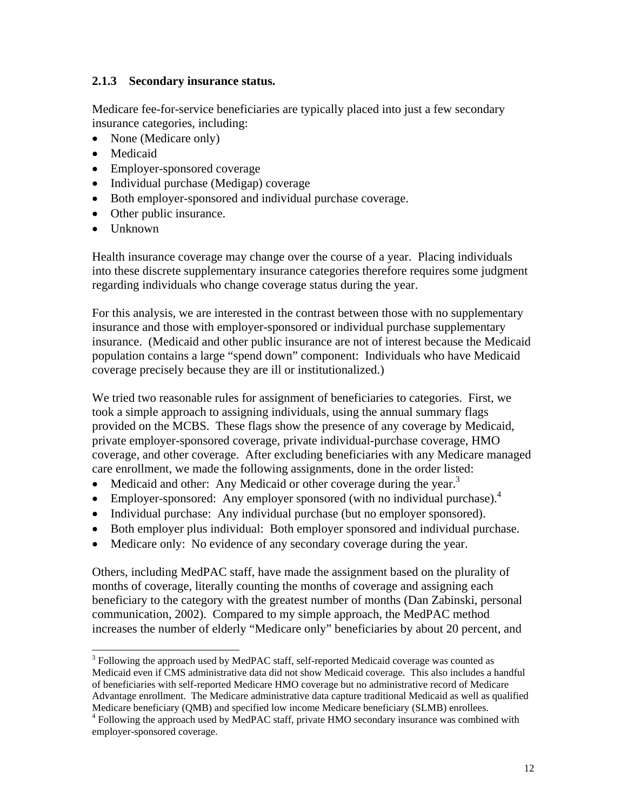#### **2.1.3 Secondary insurance status.**

Medicare fee-for-service beneficiaries are typically placed into just a few secondary insurance categories, including:

- None (Medicare only)
- Medicaid
- Employer-sponsored coverage
- Individual purchase (Medigap) coverage
- Both employer-sponsored and individual purchase coverage.
- Other public insurance.
- Unknown

Health insurance coverage may change over the course of a year. Placing individuals into these discrete supplementary insurance categories therefore requires some judgment regarding individuals who change coverage status during the year.

For this analysis, we are interested in the contrast between those with no supplementary insurance and those with employer-sponsored or individual purchase supplementary insurance. (Medicaid and other public insurance are not of interest because the Medicaid population contains a large "spend down" component: Individuals who have Medicaid coverage precisely because they are ill or institutionalized.)

We tried two reasonable rules for assignment of beneficiaries to categories. First, we took a simple approach to assigning individuals, using the annual summary flags provided on the MCBS. These flags show the presence of any coverage by Medicaid, private employer-sponsored coverage, private individual-purchase coverage, HMO coverage, and other coverage. After excluding beneficiaries with any Medicare managed care enrollment, we made the following assignments, done in the order listed:

- Medicaid and other: Any Medicaid or other coverage during the year.<sup>3</sup>
- Employer-sponsored: Any employer sponsored (with no individual purchase). $4$
- Individual purchase: Any individual purchase (but no employer sponsored).
- Both employer plus individual: Both employer sponsored and individual purchase.
- Medicare only: No evidence of any secondary coverage during the year.

Others, including MedPAC staff, have made the assignment based on the plurality of months of coverage, literally counting the months of coverage and assigning each beneficiary to the category with the greatest number of months (Dan Zabinski, personal communication, 2002). Compared to my simple approach, the MedPAC method increases the number of elderly "Medicare only" beneficiaries by about 20 percent, and

 $\overline{a}$  $3$  Following the approach used by MedPAC staff, self-reported Medicaid coverage was counted as Medicaid even if CMS administrative data did not show Medicaid coverage. This also includes a handful of beneficiaries with self-reported Medicare HMO coverage but no administrative record of Medicare Advantage enrollment. The Medicare administrative data capture traditional Medicaid as well as qualified Medicare beneficiary (QMB) and specified low income Medicare beneficiary (SLMB) enrollees. 4

<sup>&</sup>lt;sup>4</sup> Following the approach used by MedPAC staff, private HMO secondary insurance was combined with employer-sponsored coverage.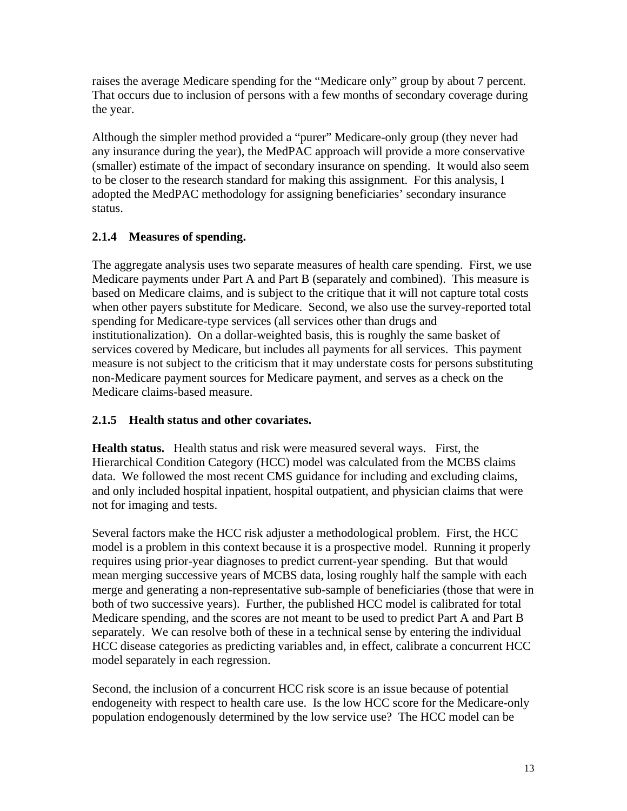raises the average Medicare spending for the "Medicare only" group by about 7 percent. That occurs due to inclusion of persons with a few months of secondary coverage during the year.

Although the simpler method provided a "purer" Medicare-only group (they never had any insurance during the year), the MedPAC approach will provide a more conservative (smaller) estimate of the impact of secondary insurance on spending. It would also seem to be closer to the research standard for making this assignment. For this analysis, I adopted the MedPAC methodology for assigning beneficiaries' secondary insurance status.

## **2.1.4 Measures of spending.**

The aggregate analysis uses two separate measures of health care spending. First, we use Medicare payments under Part A and Part B (separately and combined). This measure is based on Medicare claims, and is subject to the critique that it will not capture total costs when other payers substitute for Medicare. Second, we also use the survey-reported total spending for Medicare-type services (all services other than drugs and institutionalization). On a dollar-weighted basis, this is roughly the same basket of services covered by Medicare, but includes all payments for all services. This payment measure is not subject to the criticism that it may understate costs for persons substituting non-Medicare payment sources for Medicare payment, and serves as a check on the Medicare claims-based measure.

## **2.1.5 Health status and other covariates.**

**Health status.** Health status and risk were measured several ways. First, the Hierarchical Condition Category (HCC) model was calculated from the MCBS claims data. We followed the most recent CMS guidance for including and excluding claims, and only included hospital inpatient, hospital outpatient, and physician claims that were not for imaging and tests.

Several factors make the HCC risk adjuster a methodological problem. First, the HCC model is a problem in this context because it is a prospective model. Running it properly requires using prior-year diagnoses to predict current-year spending. But that would mean merging successive years of MCBS data, losing roughly half the sample with each merge and generating a non-representative sub-sample of beneficiaries (those that were in both of two successive years). Further, the published HCC model is calibrated for total Medicare spending, and the scores are not meant to be used to predict Part A and Part B separately. We can resolve both of these in a technical sense by entering the individual HCC disease categories as predicting variables and, in effect, calibrate a concurrent HCC model separately in each regression.

Second, the inclusion of a concurrent HCC risk score is an issue because of potential endogeneity with respect to health care use. Is the low HCC score for the Medicare-only population endogenously determined by the low service use? The HCC model can be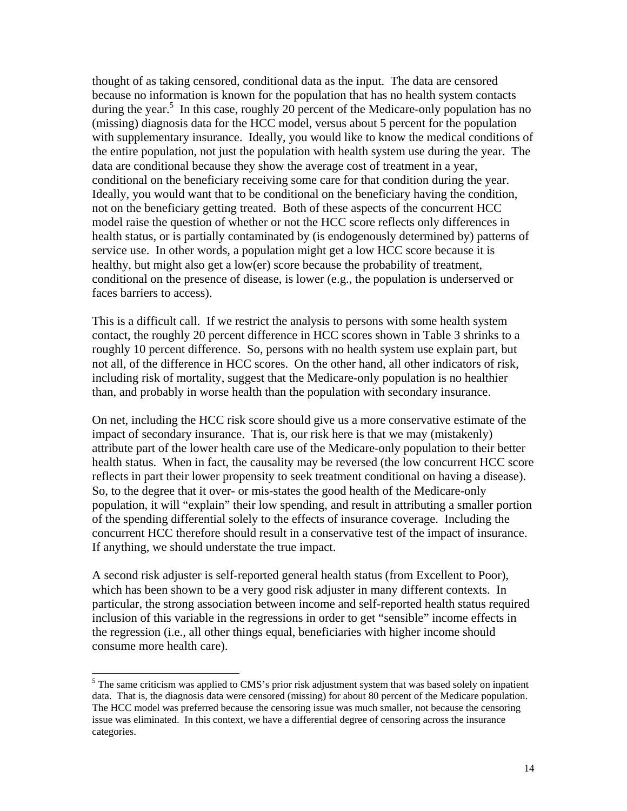thought of as taking censored, conditional data as the input. The data are censored because no information is known for the population that has no health system contacts during the year.<sup>5</sup> In this case, roughly 20 percent of the Medicare-only population has no (missing) diagnosis data for the HCC model, versus about 5 percent for the population with supplementary insurance. Ideally, you would like to know the medical conditions of the entire population, not just the population with health system use during the year. The data are conditional because they show the average cost of treatment in a year, conditional on the beneficiary receiving some care for that condition during the year. Ideally, you would want that to be conditional on the beneficiary having the condition, not on the beneficiary getting treated. Both of these aspects of the concurrent HCC model raise the question of whether or not the HCC score reflects only differences in health status, or is partially contaminated by (is endogenously determined by) patterns of service use. In other words, a population might get a low HCC score because it is healthy, but might also get a low(er) score because the probability of treatment, conditional on the presence of disease, is lower (e.g., the population is underserved or faces barriers to access).

This is a difficult call. If we restrict the analysis to persons with some health system contact, the roughly 20 percent difference in HCC scores shown in Table 3 shrinks to a roughly 10 percent difference. So, persons with no health system use explain part, but not all, of the difference in HCC scores. On the other hand, all other indicators of risk, including risk of mortality, suggest that the Medicare-only population is no healthier than, and probably in worse health than the population with secondary insurance.

On net, including the HCC risk score should give us a more conservative estimate of the impact of secondary insurance. That is, our risk here is that we may (mistakenly) attribute part of the lower health care use of the Medicare-only population to their better health status. When in fact, the causality may be reversed (the low concurrent HCC score reflects in part their lower propensity to seek treatment conditional on having a disease). So, to the degree that it over- or mis-states the good health of the Medicare-only population, it will "explain" their low spending, and result in attributing a smaller portion of the spending differential solely to the effects of insurance coverage. Including the concurrent HCC therefore should result in a conservative test of the impact of insurance. If anything, we should understate the true impact.

A second risk adjuster is self-reported general health status (from Excellent to Poor), which has been shown to be a very good risk adjuster in many different contexts. In particular, the strong association between income and self-reported health status required inclusion of this variable in the regressions in order to get "sensible" income effects in the regression (i.e., all other things equal, beneficiaries with higher income should consume more health care).

 $\overline{a}$ 

 $<sup>5</sup>$  The same criticism was applied to CMS's prior risk adjustment system that was based solely on inpatient</sup> data. That is, the diagnosis data were censored (missing) for about 80 percent of the Medicare population. The HCC model was preferred because the censoring issue was much smaller, not because the censoring issue was eliminated. In this context, we have a differential degree of censoring across the insurance categories.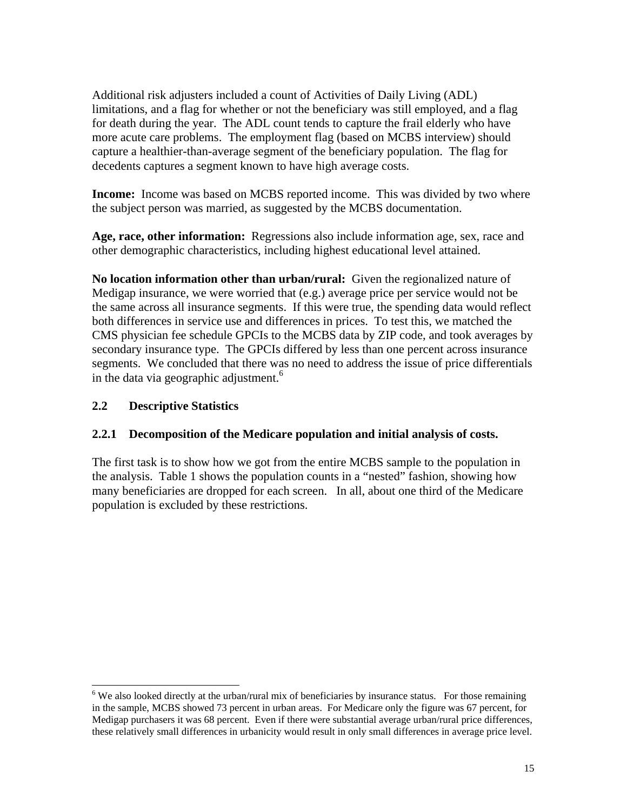Additional risk adjusters included a count of Activities of Daily Living (ADL) limitations, and a flag for whether or not the beneficiary was still employed, and a flag for death during the year. The ADL count tends to capture the frail elderly who have more acute care problems. The employment flag (based on MCBS interview) should capture a healthier-than-average segment of the beneficiary population. The flag for decedents captures a segment known to have high average costs.

**Income:** Income was based on MCBS reported income. This was divided by two where the subject person was married, as suggested by the MCBS documentation.

**Age, race, other information:** Regressions also include information age, sex, race and other demographic characteristics, including highest educational level attained.

**No location information other than urban/rural:** Given the regionalized nature of Medigap insurance, we were worried that (e.g.) average price per service would not be the same across all insurance segments. If this were true, the spending data would reflect both differences in service use and differences in prices. To test this, we matched the CMS physician fee schedule GPCIs to the MCBS data by ZIP code, and took averages by secondary insurance type. The GPCIs differed by less than one percent across insurance segments. We concluded that there was no need to address the issue of price differentials in the data via geographic adjustment.<sup>6</sup>

#### **2.2 Descriptive Statistics**

 $\overline{a}$ 

#### **2.2.1 Decomposition of the Medicare population and initial analysis of costs.**

The first task is to show how we got from the entire MCBS sample to the population in the analysis. Table 1 shows the population counts in a "nested" fashion, showing how many beneficiaries are dropped for each screen. In all, about one third of the Medicare population is excluded by these restrictions.

 $6$  We also looked directly at the urban/rural mix of beneficiaries by insurance status. For those remaining in the sample, MCBS showed 73 percent in urban areas. For Medicare only the figure was 67 percent, for Medigap purchasers it was 68 percent. Even if there were substantial average urban/rural price differences, these relatively small differences in urbanicity would result in only small differences in average price level.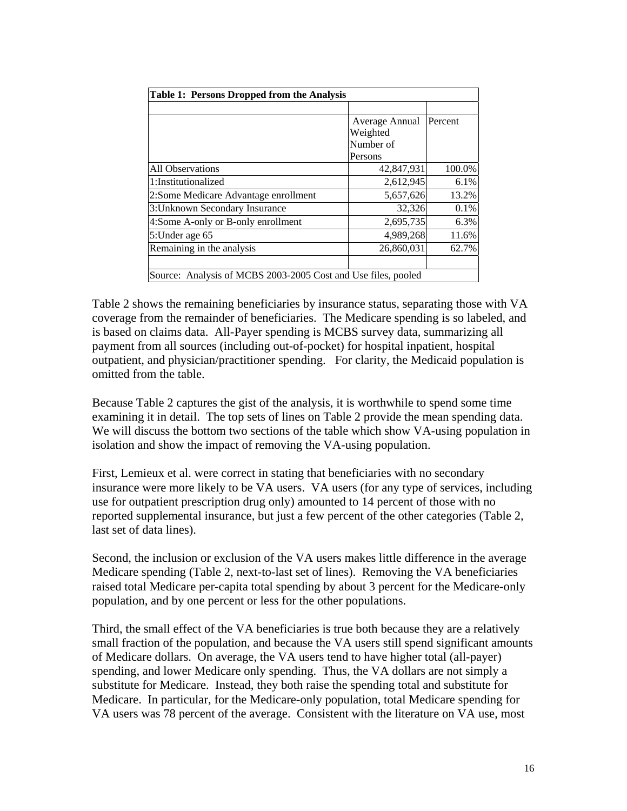| Table 1: Persons Dropped from the Analysis                    |                |         |  |  |  |  |  |
|---------------------------------------------------------------|----------------|---------|--|--|--|--|--|
|                                                               |                |         |  |  |  |  |  |
|                                                               | Average Annual | Percent |  |  |  |  |  |
|                                                               | Weighted       |         |  |  |  |  |  |
|                                                               | Number of      |         |  |  |  |  |  |
|                                                               | Persons        |         |  |  |  |  |  |
| <b>All Observations</b>                                       | 42,847,931     | 100.0%  |  |  |  |  |  |
| 1:Institutionalized                                           | 2,612,945      | 6.1%    |  |  |  |  |  |
| 2: Some Medicare Advantage enrollment                         | 5,657,626      | 13.2%   |  |  |  |  |  |
| 3: Unknown Secondary Insurance                                | 32,326         | 0.1%    |  |  |  |  |  |
| 4:Some A-only or B-only enrollment                            | 2,695,735      | 6.3%    |  |  |  |  |  |
| 5: Under age 65                                               | 4,989,268      | 11.6%   |  |  |  |  |  |
| Remaining in the analysis                                     | 26,860,031     | 62.7%   |  |  |  |  |  |
|                                                               |                |         |  |  |  |  |  |
| Source: Analysis of MCBS 2003-2005 Cost and Use files, pooled |                |         |  |  |  |  |  |

Table 2 shows the remaining beneficiaries by insurance status, separating those with VA coverage from the remainder of beneficiaries. The Medicare spending is so labeled, and is based on claims data. All-Payer spending is MCBS survey data, summarizing all payment from all sources (including out-of-pocket) for hospital inpatient, hospital outpatient, and physician/practitioner spending. For clarity, the Medicaid population is omitted from the table.

Because Table 2 captures the gist of the analysis, it is worthwhile to spend some time examining it in detail. The top sets of lines on Table 2 provide the mean spending data. We will discuss the bottom two sections of the table which show VA-using population in isolation and show the impact of removing the VA-using population.

First, Lemieux et al. were correct in stating that beneficiaries with no secondary insurance were more likely to be VA users. VA users (for any type of services, including use for outpatient prescription drug only) amounted to 14 percent of those with no reported supplemental insurance, but just a few percent of the other categories (Table 2, last set of data lines).

Second, the inclusion or exclusion of the VA users makes little difference in the average Medicare spending (Table 2, next-to-last set of lines). Removing the VA beneficiaries raised total Medicare per-capita total spending by about 3 percent for the Medicare-only population, and by one percent or less for the other populations.

Third, the small effect of the VA beneficiaries is true both because they are a relatively small fraction of the population, and because the VA users still spend significant amounts of Medicare dollars. On average, the VA users tend to have higher total (all-payer) spending, and lower Medicare only spending. Thus, the VA dollars are not simply a substitute for Medicare. Instead, they both raise the spending total and substitute for Medicare. In particular, for the Medicare-only population, total Medicare spending for VA users was 78 percent of the average. Consistent with the literature on VA use, most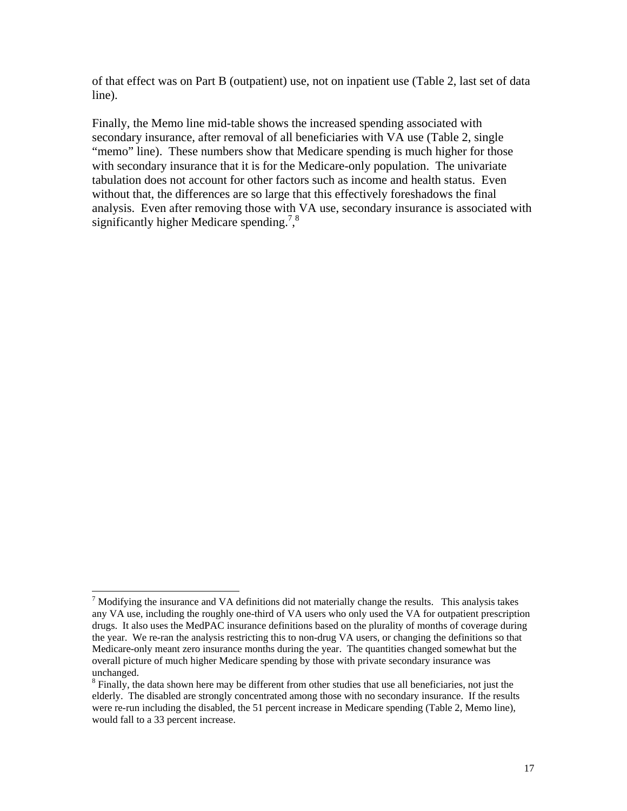of that effect was on Part B (outpatient) use, not on inpatient use (Table 2, last set of data line).

Finally, the Memo line mid-table shows the increased spending associated with secondary insurance, after removal of all beneficiaries with VA use (Table 2, single "memo" line). These numbers show that Medicare spending is much higher for those with secondary insurance that it is for the Medicare-only population. The univariate tabulation does not account for other factors such as income and health status. Even without that, the differences are so large that this effectively foreshadows the final analysis. Even after removing those with VA use, secondary insurance is associated with significantly higher Medicare spending.<sup>7</sup>,<sup>8</sup>

 $\overline{a}$ 

 $<sup>7</sup>$  Modifying the insurance and VA definitions did not materially change the results. This analysis takes</sup> any VA use, including the roughly one-third of VA users who only used the VA for outpatient prescription drugs. It also uses the MedPAC insurance definitions based on the plurality of months of coverage during the year. We re-ran the analysis restricting this to non-drug VA users, or changing the definitions so that Medicare-only meant zero insurance months during the year. The quantities changed somewhat but the overall picture of much higher Medicare spending by those with private secondary insurance was unchanged.

<sup>&</sup>lt;sup>8</sup> Finally, the data shown here may be different from other studies that use all beneficiaries, not just the elderly. The disabled are strongly concentrated among those with no secondary insurance. If the results were re-run including the disabled, the 51 percent increase in Medicare spending (Table 2, Memo line), would fall to a 33 percent increase.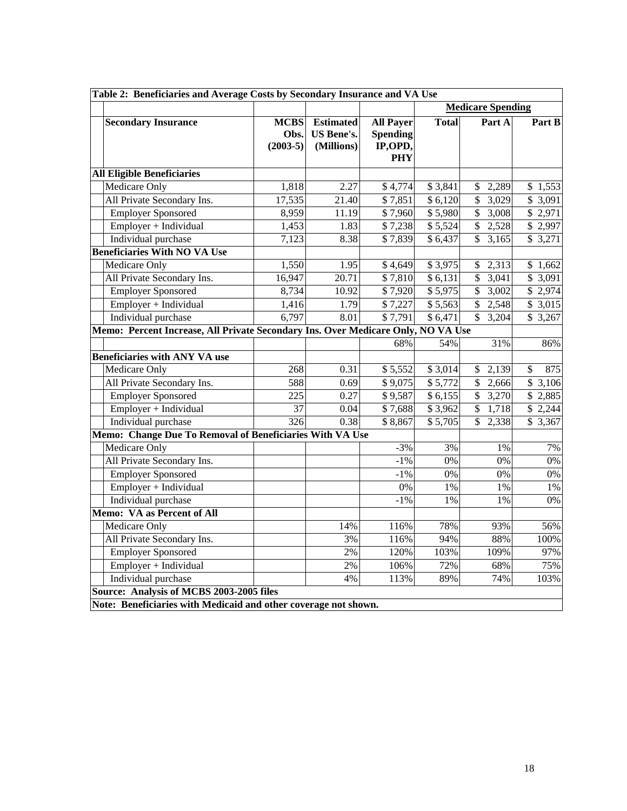| Table 2: Beneficiaries and Average Costs by Secondary Insurance and VA Use |                                                                                  |                                                     |                                                              |              |                                   |           |  |  |  |
|----------------------------------------------------------------------------|----------------------------------------------------------------------------------|-----------------------------------------------------|--------------------------------------------------------------|--------------|-----------------------------------|-----------|--|--|--|
|                                                                            |                                                                                  |                                                     |                                                              |              | <b>Medicare Spending</b>          |           |  |  |  |
| <b>Secondary Insurance</b>                                                 | <b>MCBS</b><br>Obs.<br>$(2003-5)$                                                | <b>Estimated</b><br><b>US Bene's.</b><br>(Millions) | <b>All Payer</b><br><b>Spending</b><br>IP,OPD,<br><b>PHY</b> | <b>Total</b> | Part A                            | Part B    |  |  |  |
| <b>All Eligible Beneficiaries</b>                                          |                                                                                  |                                                     |                                                              |              |                                   |           |  |  |  |
| Medicare Only                                                              | 1,818                                                                            | 2.27                                                | \$4,774                                                      | \$3,841      | 2,289<br>\$                       | \$1,553   |  |  |  |
| All Private Secondary Ins.                                                 | 17,535                                                                           | 21.40                                               | \$7,851                                                      | \$6,120      | $\overline{\$}$<br>3,029          | \$3,091   |  |  |  |
| <b>Employer Sponsored</b>                                                  | 8,959                                                                            | 11.19                                               | \$7,960                                                      | \$5,980      | $\overline{\mathcal{S}}$<br>3,008 | \$2,971   |  |  |  |
| Employer + Individual                                                      | 1,453                                                                            | 1.83                                                | \$7,238                                                      | \$5,524      | \$2,528                           | \$2,997   |  |  |  |
| Individual purchase                                                        | 7,123                                                                            | 8.38                                                | \$7,839                                                      | \$6,437      | $\overline{\mathcal{S}}$<br>3,165 | \$3,271   |  |  |  |
| <b>Beneficiaries With NO VA Use</b>                                        |                                                                                  |                                                     |                                                              |              |                                   |           |  |  |  |
| Medicare Only                                                              | 1,550                                                                            | 1.95                                                | \$4,649                                                      | \$3,975      | 2,313<br>\$                       | \$1,662   |  |  |  |
| All Private Secondary Ins.                                                 | 16,947                                                                           | 20.71                                               | \$7,810                                                      | \$6,131      | $\mathbb{S}$<br>3,041             | \$ 3,091  |  |  |  |
| <b>Employer Sponsored</b>                                                  | 8,734                                                                            | 10.92                                               | \$7,920                                                      | \$5,975      | \$<br>3,002                       | \$ 2,974  |  |  |  |
| Employer + Individual                                                      | 1,416                                                                            | 1.79                                                | \$7,227                                                      | \$5,563      | \$2,548                           | \$3,015   |  |  |  |
| Individual purchase                                                        | 6,797                                                                            | 8.01                                                | $\sqrt{57,791}$                                              | \$6,471      | $\mathbb{S}$<br>3,204             | \$3,267   |  |  |  |
|                                                                            | Memo: Percent Increase, All Private Secondary Ins. Over Medicare Only, NO VA Use |                                                     |                                                              |              |                                   |           |  |  |  |
|                                                                            |                                                                                  |                                                     | 68%                                                          | 54%          | 31%                               | 86%       |  |  |  |
| <b>Beneficiaries with ANY VA use</b>                                       |                                                                                  |                                                     |                                                              |              |                                   |           |  |  |  |
| Medicare Only                                                              | 268                                                                              | 0.31                                                | \$5,552                                                      | \$3,014      | 2,139<br>\$                       | \$<br>875 |  |  |  |
| All Private Secondary Ins.                                                 | 588                                                                              | 0.69                                                | \$9,075                                                      | \$5,772      | $\mathbb{S}$<br>2,666             | \$3,106   |  |  |  |
| <b>Employer Sponsored</b>                                                  | 225                                                                              | 0.27                                                | \$9,587                                                      | \$6,155      | $\overline{\$}$<br>3,270          | \$2,885   |  |  |  |
| Employer + Individual                                                      | 37                                                                               | 0.04                                                | \$7,688                                                      | \$3,962      | \$<br>1,718                       | \$2,244   |  |  |  |
| Individual purchase                                                        | $\frac{1}{326}$                                                                  | 0.38                                                | \$8,867                                                      | \$5,705      | $\overline{\mathbb{S}}$<br>2,338  | \$3,367   |  |  |  |
| Memo: Change Due To Removal of Beneficiaries With VA Use                   |                                                                                  |                                                     |                                                              |              |                                   |           |  |  |  |
| Medicare Only                                                              |                                                                                  |                                                     | $-3%$                                                        | 3%           | 1%                                | 7%        |  |  |  |
| All Private Secondary Ins.                                                 |                                                                                  |                                                     | $-1\%$                                                       | $0\%$        | 0%                                | 0%        |  |  |  |
| <b>Employer Sponsored</b>                                                  |                                                                                  |                                                     | $-1%$                                                        | $0\%$        | 0%                                | $0\%$     |  |  |  |
| Employer + Individual                                                      |                                                                                  |                                                     | 0%                                                           | $1\%$        | 1%                                | 1%        |  |  |  |
| Individual purchase                                                        |                                                                                  |                                                     | $-1%$                                                        | 1%           | 1%                                | 0%        |  |  |  |
| Memo: VA as Percent of All                                                 |                                                                                  |                                                     |                                                              |              |                                   |           |  |  |  |
| Medicare Only                                                              |                                                                                  | 14%                                                 | 116%                                                         | 78%          | 93%                               | 56%       |  |  |  |
| All Private Secondary Ins.                                                 |                                                                                  | 3%                                                  | 116%                                                         | 94%          | 88%                               | 100%      |  |  |  |
| <b>Employer Sponsored</b>                                                  |                                                                                  | 2%                                                  | 120%                                                         | 103%         | 109%                              | 97%       |  |  |  |
| Employer + Individual                                                      |                                                                                  | 2%                                                  | 106%                                                         | 72%          | 68%                               | 75%       |  |  |  |
| Individual purchase                                                        |                                                                                  | 4%                                                  | 113%                                                         | 89%          | 74%                               | 103%      |  |  |  |
| Source: Analysis of MCBS 2003-2005 files                                   |                                                                                  |                                                     |                                                              |              |                                   |           |  |  |  |
| Note: Beneficiaries with Medicaid and other coverage not shown.            |                                                                                  |                                                     |                                                              |              |                                   |           |  |  |  |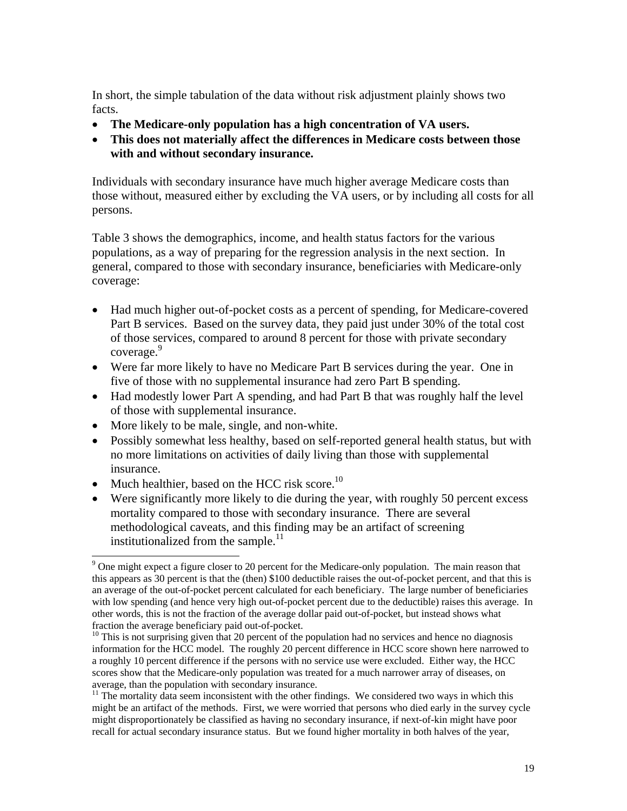In short, the simple tabulation of the data without risk adjustment plainly shows two facts.

- **The Medicare-only population has a high concentration of VA users.**
- **This does not materially affect the differences in Medicare costs between those with and without secondary insurance.**

Individuals with secondary insurance have much higher average Medicare costs than those without, measured either by excluding the VA users, or by including all costs for all persons.

Table 3 shows the demographics, income, and health status factors for the various populations, as a way of preparing for the regression analysis in the next section. In general, compared to those with secondary insurance, beneficiaries with Medicare-only coverage:

- Had much higher out-of-pocket costs as a percent of spending, for Medicare-covered Part B services. Based on the survey data, they paid just under 30% of the total cost of those services, compared to around 8 percent for those with private secondary coverage.<sup>9</sup>
- Were far more likely to have no Medicare Part B services during the year. One in five of those with no supplemental insurance had zero Part B spending.
- Had modestly lower Part A spending, and had Part B that was roughly half the level of those with supplemental insurance.
- More likely to be male, single, and non-white.
- Possibly somewhat less healthy, based on self-reported general health status, but with no more limitations on activities of daily living than those with supplemental insurance.
- Much healthier, based on the HCC risk score.<sup>10</sup>
- Were significantly more likely to die during the year, with roughly 50 percent excess mortality compared to those with secondary insurance. There are several methodological caveats, and this finding may be an artifact of screening institutionalized from the sample.<sup>11</sup>

<sup>&</sup>lt;sup>9</sup> One might expect a figure closer to 20 percent for the Medicare-only population. The main reason that this appears as 30 percent is that the (then) \$100 deductible raises the out-of-pocket percent, and that this is an average of the out-of-pocket percent calculated for each beneficiary. The large number of beneficiaries with low spending (and hence very high out-of-pocket percent due to the deductible) raises this average. In other words, this is not the fraction of the average dollar paid out-of-pocket, but instead shows what fraction the average beneficiary paid out-of-pocket.

<sup>&</sup>lt;sup>10</sup> This is not surprising given that 20 percent of the population had no services and hence no diagnosis information for the HCC model. The roughly 20 percent difference in HCC score shown here narrowed to a roughly 10 percent difference if the persons with no service use were excluded. Either way, the HCC scores show that the Medicare-only population was treated for a much narrower array of diseases, on average, than the population with secondary insurance.

 $11$  The mortality data seem inconsistent with the other findings. We considered two ways in which this might be an artifact of the methods. First, we were worried that persons who died early in the survey cycle might disproportionately be classified as having no secondary insurance, if next-of-kin might have poor recall for actual secondary insurance status. But we found higher mortality in both halves of the year,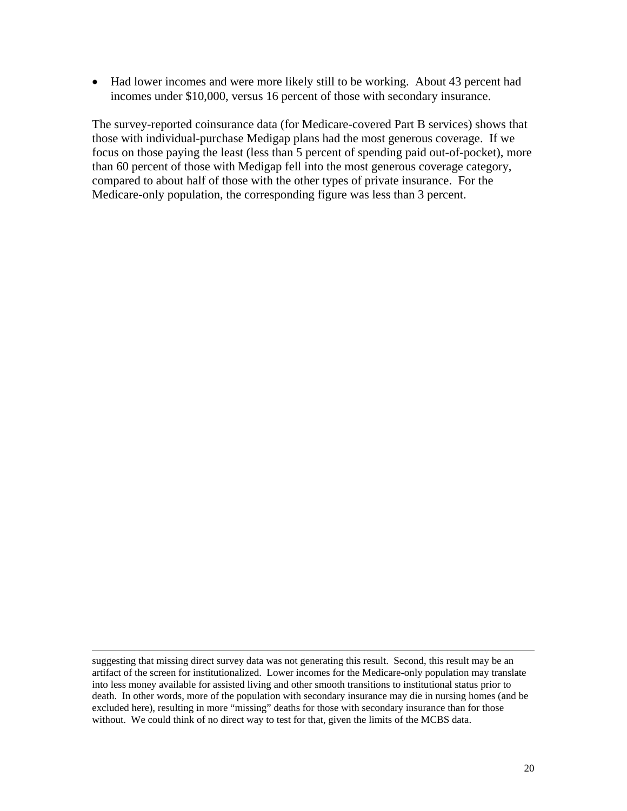• Had lower incomes and were more likely still to be working. About 43 percent had incomes under \$10,000, versus 16 percent of those with secondary insurance.

The survey-reported coinsurance data (for Medicare-covered Part B services) shows that those with individual-purchase Medigap plans had the most generous coverage. If we focus on those paying the least (less than 5 percent of spending paid out-of-pocket), more than 60 percent of those with Medigap fell into the most generous coverage category, compared to about half of those with the other types of private insurance. For the Medicare-only population, the corresponding figure was less than 3 percent.

 $\overline{a}$ 

suggesting that missing direct survey data was not generating this result. Second, this result may be an artifact of the screen for institutionalized. Lower incomes for the Medicare-only population may translate into less money available for assisted living and other smooth transitions to institutional status prior to death. In other words, more of the population with secondary insurance may die in nursing homes (and be excluded here), resulting in more "missing" deaths for those with secondary insurance than for those without. We could think of no direct way to test for that, given the limits of the MCBS data.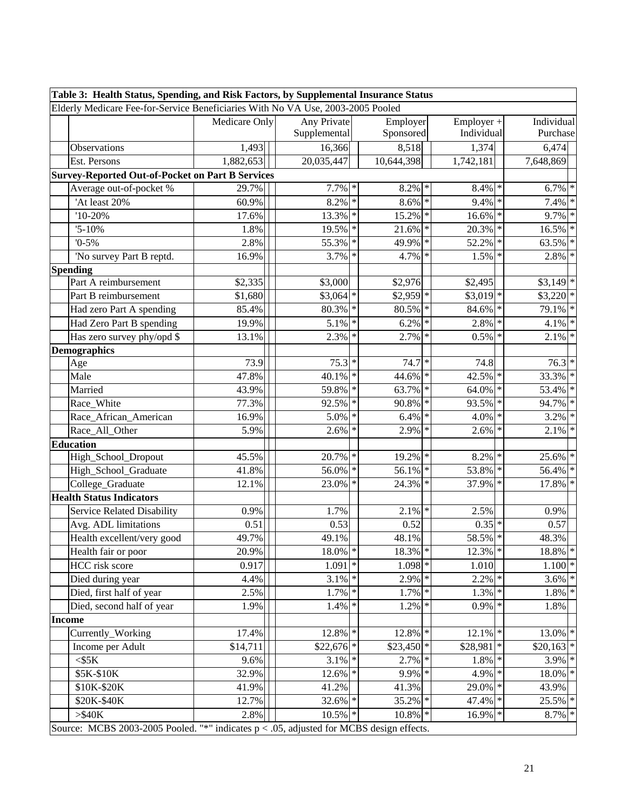| Table 3: Health Status, Spending, and Risk Factors, by Supplemental Insurance Status       |                        |                      |        |             |             |        |                        |  |
|--------------------------------------------------------------------------------------------|------------------------|----------------------|--------|-------------|-------------|--------|------------------------|--|
| Elderly Medicare Fee-for-Service Beneficiaries With No VA Use, 2003-2005 Pooled            |                        |                      |        |             |             |        |                        |  |
|                                                                                            | Medicare Only          | Any Private          |        | Employer    | Employer +  |        | Individual             |  |
|                                                                                            |                        | Supplemental         |        | Sponsored   | Individual  |        | Purchase               |  |
| Observations                                                                               | 1,493                  | 16,366               |        | 8,518       | 1,374       |        | 6,474                  |  |
| Est. Persons                                                                               | $\overline{1,882,653}$ | 20,035,447           |        | 10,644,398  | 1,742,181   |        | 7,648,869              |  |
| <b>Survey-Reported Out-of-Pocket on Part B Services</b>                                    |                        |                      |        |             |             |        |                        |  |
| Average out-of-pocket %                                                                    | 29.7%                  | $7.7\%$ *            |        | $8.2\%$ *   | 8.4%        | ∗      | $6.7\%$ *              |  |
| 'At least 20%                                                                              | 60.9%                  | $8.2\%$ *            |        | $8.6\%$ *   | 9.4%        |        | 7.4%<br>∗              |  |
| $'10-20\%$                                                                                 | 17.6%                  | 13.3% *              |        | $15.2\%$ *  | 16.6%       |        | $9.7\%$ *              |  |
| $'5 - 10\%$                                                                                | 1.8%                   | 19.5% *              |        | $21.6\%$ *  | 20.3%       |        | $16.5\%$ *             |  |
| $0 - 5\%$                                                                                  | 2.8%                   | 55.3%                | $\ast$ | 49.9% *     | 52.2%       | $\ast$ | 63.5%<br>$\ast$        |  |
| 'No survey Part B reptd.                                                                   | 16.9%                  | 3.7%                 | $\ast$ | 4.7% *      | 1.5%        |        | 2.8%                   |  |
| <b>Spending</b>                                                                            |                        |                      |        |             |             |        |                        |  |
| Part A reimbursement                                                                       | \$2,335                | \$3,000              |        | \$2,976     | \$2,495     |        | $$3,149$ *             |  |
| Part B reimbursement                                                                       | \$1,680                | $$3,064$ *           |        | $$2,959$ *  | $$3,019$ *  |        | $$3,220$ *             |  |
| Had zero Part A spending                                                                   | 85.4%                  | 80.3% *              |        | $80.5\%$ *  | 84.6%       |        | 79.1%<br>$\ast$        |  |
| Had Zero Part B spending                                                                   | 19.9%                  | 5.1%                 | $\ast$ | $6.2\%$ *   | 2.8%        |        | $4.1\%$ *              |  |
| Has zero survey phy/opd \$                                                                 | 13.1%                  | 2.3%                 |        | $2.7\%$ *   | 0.5%        |        | 2.1%                   |  |
| <b>Demographics</b>                                                                        |                        |                      |        |             |             |        |                        |  |
| Age                                                                                        | 73.9                   | $75.3*$              |        | $74.7*$     | 74.8        |        | $76.3*$                |  |
| Male                                                                                       | 47.8%                  | 40.1% *              |        | 44.6% *     | 42.5%       |        | 33.3% *                |  |
| Married                                                                                    | 43.9%                  | 59.8% *              |        | 63.7% *     | 64.0%       |        | 53.4% *                |  |
| Race_White                                                                                 | 77.3%                  | 92.5%                | $\ast$ | 90.8% *     | 93.5%       |        | 94.7% *                |  |
| Race_African_American                                                                      | 16.9%                  | 5.0%                 | $\ast$ | $6.4\%$ *   | 4.0%        |        | 3.2%<br>$\ast$         |  |
| Race_All_Other                                                                             | 5.9%                   | 2.6%                 | $\ast$ | $2.9\%$ *   | 2.6%        |        | $2.1\%$ *              |  |
| Education                                                                                  |                        |                      |        |             |             |        |                        |  |
| High_School_Dropout                                                                        | 45.5%                  | 20.7%                | $\ast$ | 19.2% *     | 8.2%        |        | 25.6%                  |  |
| High_School_Graduate                                                                       | 41.8%                  | $56.0\%$             |        | 56.1% *     | 53.8%       |        | 56.4% *                |  |
| College_Graduate                                                                           | 12.1%                  | 23.0%                | ∗      | 24.3% *     | 37.9%       |        | 17.8%                  |  |
| <b>Health Status Indicators</b>                                                            |                        |                      |        |             |             |        |                        |  |
| <b>Service Related Disability</b>                                                          | 0.9%                   | 1.7%                 |        | $2.1\%$ *   | 2.5%        |        | 0.9%                   |  |
| Avg. ADL limitations                                                                       | 0.51                   | 0.53                 |        | 0.52        | $0.35$ *    |        | 0.57                   |  |
| Health excellent/very good                                                                 | 49.7%                  | 49.1%                |        | 48.1%       | 58.5%       | ∗      | 48.3%                  |  |
| Health fair or poor                                                                        | 20.9%                  | 18.0%                |        | 18.3% *     | 12.3%       |        | $18.8\%$ *             |  |
| HCC risk score                                                                             | 0.917                  | $1.091$ <sup>*</sup> |        | $1.098$ *   | 1.010       |        | $1.100*$               |  |
| Died during year                                                                           | 4.4%                   | $3.1\%$ *            |        | $2.9\%$ *   | 2.2%        | ∗      | $3.6\%$ *              |  |
| Died, first half of year                                                                   | 2.5%                   | $1.7\%$ *            |        | $1.7\%$ *   | 1.3%        |        | $1.8\%$ *              |  |
| Died, second half of year                                                                  | 1.9%                   | 1.4%                 | $\ast$ | $1.2\%$ *   | 0.9%        | $\ast$ | 1.8%                   |  |
| <b>Income</b>                                                                              |                        |                      |        |             |             |        |                        |  |
| Currently_Working                                                                          | 17.4%                  | 12.8% *              |        | 12.8% *     | $12.1\%$ *  |        | 13.0% *                |  |
| Income per Adult                                                                           | \$14,711               | \$22,676             |        | $$23,450$ * | $$28,981$ * |        | $$20,163$ <sup>*</sup> |  |
| $<$ \$5 $K$                                                                                | 9.6%                   | $3.1\%$ *            |        | $2.7\%$ *   | 1.8%        | $\ast$ | $3.9\sqrt{*}$          |  |
| \$5K-\$10K                                                                                 | 32.9%                  | $12.6\%$ *           |        | 9.9% *      | 4.9%        | $\ast$ | $18.0\%$ *             |  |
| \$10K-\$20K                                                                                | 41.9%                  | 41.2%                |        | 41.3%       | 29.0%       | $\ast$ | 43.9%                  |  |
| \$20K-\$40K                                                                                | 12.7%                  | 32.6% *              |        | 35.2% *     | 47.4%       |        | $25.5\%$ *             |  |
| $>\,$ 540K                                                                                 | 2.8%                   | 10.5%                | $\ast$ | $10.8\%$ *  | 16.9%       | $\ast$ | $8.7\%$ *              |  |
| Source: MCBS 2003-2005 Pooled. "*" indicates $p < .05$ , adjusted for MCBS design effects. |                        |                      |        |             |             |        |                        |  |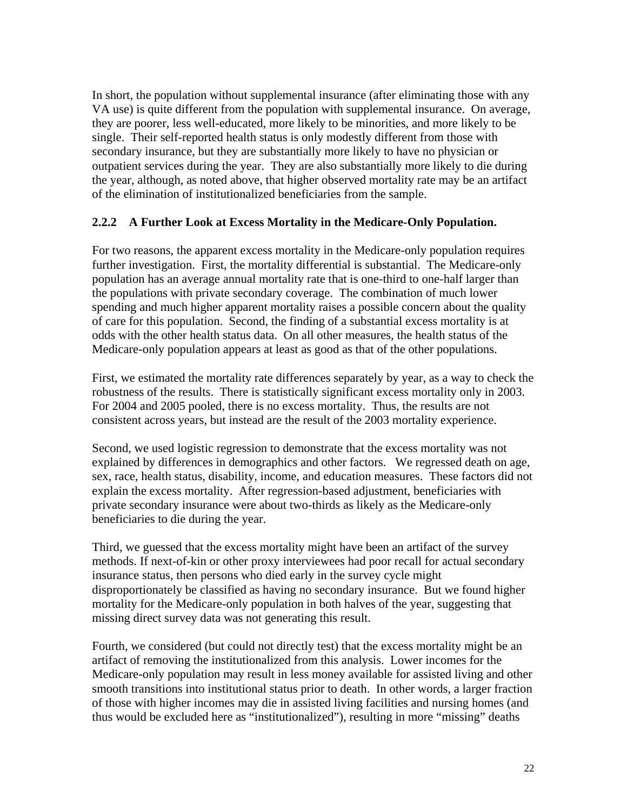In short, the population without supplemental insurance (after eliminating those with any VA use) is quite different from the population with supplemental insurance. On average, they are poorer, less well-educated, more likely to be minorities, and more likely to be single. Their self-reported health status is only modestly different from those with secondary insurance, but they are substantially more likely to have no physician or outpatient services during the year. They are also substantially more likely to die during the year, although, as noted above, that higher observed mortality rate may be an artifact of the elimination of institutionalized beneficiaries from the sample.

#### **2.2.2 A Further Look at Excess Mortality in the Medicare-Only Population.**

For two reasons, the apparent excess mortality in the Medicare-only population requires further investigation. First, the mortality differential is substantial. The Medicare-only population has an average annual mortality rate that is one-third to one-half larger than the populations with private secondary coverage. The combination of much lower spending and much higher apparent mortality raises a possible concern about the quality of care for this population. Second, the finding of a substantial excess mortality is at odds with the other health status data. On all other measures, the health status of the Medicare-only population appears at least as good as that of the other populations.

First, we estimated the mortality rate differences separately by year, as a way to check the robustness of the results. There is statistically significant excess mortality only in 2003. For 2004 and 2005 pooled, there is no excess mortality. Thus, the results are not consistent across years, but instead are the result of the 2003 mortality experience.

Second, we used logistic regression to demonstrate that the excess mortality was not explained by differences in demographics and other factors. We regressed death on age, sex, race, health status, disability, income, and education measures. These factors did not explain the excess mortality. After regression-based adjustment, beneficiaries with private secondary insurance were about two-thirds as likely as the Medicare-only beneficiaries to die during the year.

Third, we guessed that the excess mortality might have been an artifact of the survey methods. If next-of-kin or other proxy interviewees had poor recall for actual secondary insurance status, then persons who died early in the survey cycle might disproportionately be classified as having no secondary insurance. But we found higher mortality for the Medicare-only population in both halves of the year, suggesting that missing direct survey data was not generating this result.

Fourth, we considered (but could not directly test) that the excess mortality might be an artifact of removing the institutionalized from this analysis. Lower incomes for the Medicare-only population may result in less money available for assisted living and other smooth transitions into institutional status prior to death. In other words, a larger fraction of those with higher incomes may die in assisted living facilities and nursing homes (and thus would be excluded here as "institutionalized"), resulting in more "missing" deaths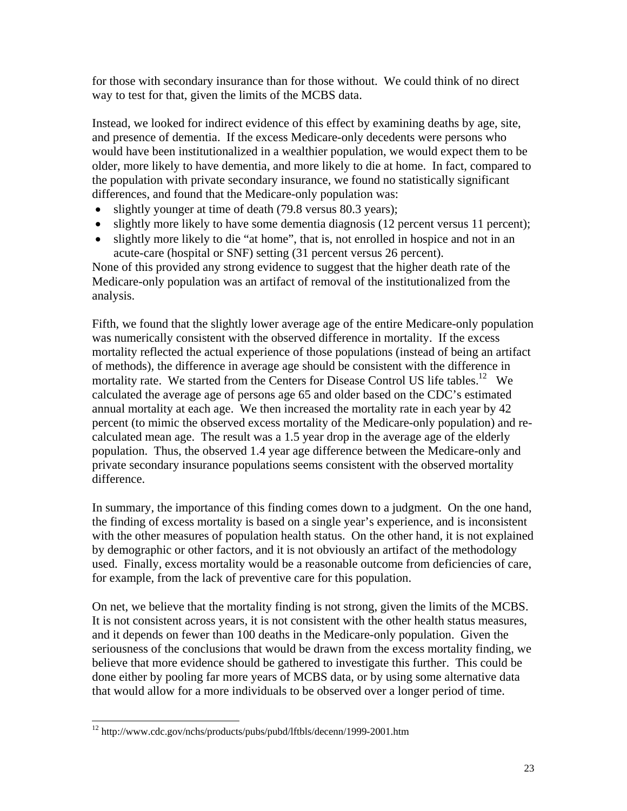for those with secondary insurance than for those without. We could think of no direct way to test for that, given the limits of the MCBS data.

Instead, we looked for indirect evidence of this effect by examining deaths by age, site, and presence of dementia. If the excess Medicare-only decedents were persons who would have been institutionalized in a wealthier population, we would expect them to be older, more likely to have dementia, and more likely to die at home. In fact, compared to the population with private secondary insurance, we found no statistically significant differences, and found that the Medicare-only population was:

- slightly younger at time of death (79.8 versus 80.3 years);
- slightly more likely to have some dementia diagnosis (12 percent versus 11 percent);
- slightly more likely to die "at home", that is, not enrolled in hospice and not in an acute-care (hospital or SNF) setting (31 percent versus 26 percent).

None of this provided any strong evidence to suggest that the higher death rate of the Medicare-only population was an artifact of removal of the institutionalized from the analysis.

Fifth, we found that the slightly lower average age of the entire Medicare-only population was numerically consistent with the observed difference in mortality. If the excess mortality reflected the actual experience of those populations (instead of being an artifact of methods), the difference in average age should be consistent with the difference in mortality rate. We started from the Centers for Disease Control US life tables.<sup>12</sup> We calculated the average age of persons age 65 and older based on the CDC's estimated annual mortality at each age. We then increased the mortality rate in each year by 42 percent (to mimic the observed excess mortality of the Medicare-only population) and recalculated mean age. The result was a 1.5 year drop in the average age of the elderly population. Thus, the observed 1.4 year age difference between the Medicare-only and private secondary insurance populations seems consistent with the observed mortality difference.

In summary, the importance of this finding comes down to a judgment. On the one hand, the finding of excess mortality is based on a single year's experience, and is inconsistent with the other measures of population health status. On the other hand, it is not explained by demographic or other factors, and it is not obviously an artifact of the methodology used. Finally, excess mortality would be a reasonable outcome from deficiencies of care, for example, from the lack of preventive care for this population.

On net, we believe that the mortality finding is not strong, given the limits of the MCBS. It is not consistent across years, it is not consistent with the other health status measures, and it depends on fewer than 100 deaths in the Medicare-only population. Given the seriousness of the conclusions that would be drawn from the excess mortality finding, we believe that more evidence should be gathered to investigate this further. This could be done either by pooling far more years of MCBS data, or by using some alternative data that would allow for a more individuals to be observed over a longer period of time.

 $\overline{a}$ 12 http://www.cdc.gov/nchs/products/pubs/pubd/lftbls/decenn/1999-2001.htm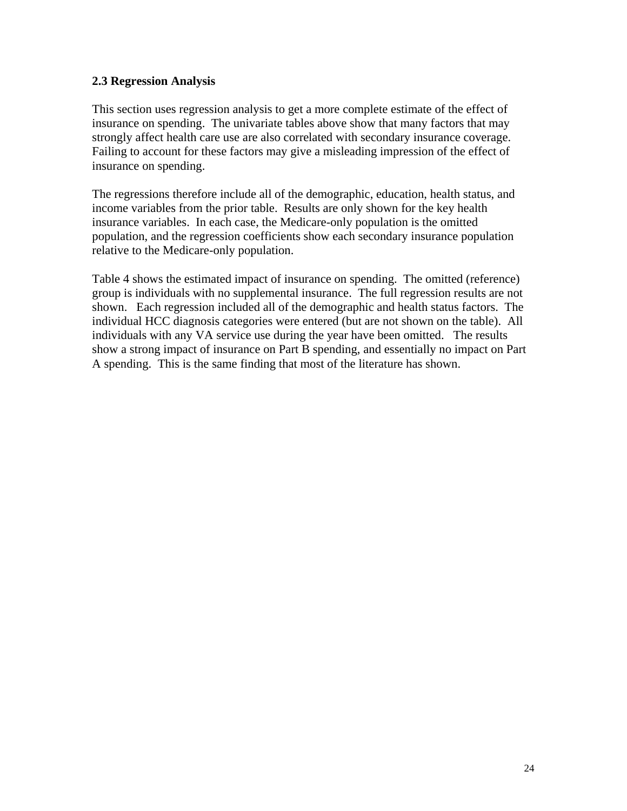#### **2.3 Regression Analysis**

This section uses regression analysis to get a more complete estimate of the effect of insurance on spending. The univariate tables above show that many factors that may strongly affect health care use are also correlated with secondary insurance coverage. Failing to account for these factors may give a misleading impression of the effect of insurance on spending.

The regressions therefore include all of the demographic, education, health status, and income variables from the prior table. Results are only shown for the key health insurance variables. In each case, the Medicare-only population is the omitted population, and the regression coefficients show each secondary insurance population relative to the Medicare-only population.

Table 4 shows the estimated impact of insurance on spending. The omitted (reference) group is individuals with no supplemental insurance. The full regression results are not shown. Each regression included all of the demographic and health status factors. The individual HCC diagnosis categories were entered (but are not shown on the table). All individuals with any VA service use during the year have been omitted. The results show a strong impact of insurance on Part B spending, and essentially no impact on Part A spending. This is the same finding that most of the literature has shown.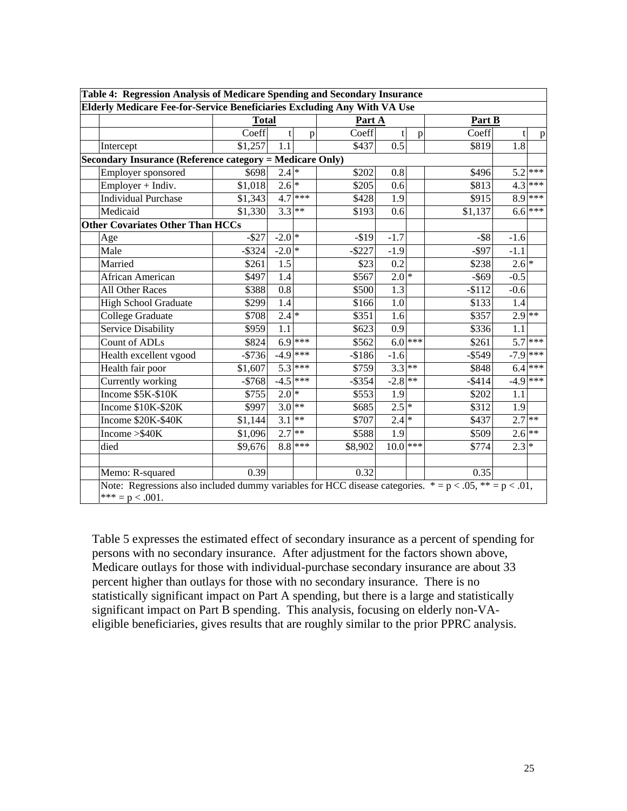|                                                          | Elderly Medicare Fee-for-Service Beneficiaries Excluding Any With VA Use |                    |            |           |                    |              |           |                    |           |
|----------------------------------------------------------|--------------------------------------------------------------------------|--------------------|------------|-----------|--------------------|--------------|-----------|--------------------|-----------|
|                                                          | <b>Total</b>                                                             |                    |            | Part A    |                    |              | Part B    |                    |           |
|                                                          | Coeff                                                                    |                    | p          | Coeff     |                    | $\mathbf{p}$ | Coeff     | t                  | p         |
| Intercept                                                | \$1,257                                                                  | 1.1                |            | \$437     | $\overline{0.5}$   |              | \$819     | 1.8                |           |
| Secondary Insurance (Reference category = Medicare Only) |                                                                          |                    |            |           |                    |              |           |                    |           |
| Employer sponsored                                       | \$698                                                                    | $2.4$ *            |            | \$202     | $0.8\,$            |              | \$496     |                    | $5.2$ *** |
| Employer + Indiv.                                        | \$1,018                                                                  | $2.6$ <sup>*</sup> |            | \$205     | 0.6                |              | \$813     |                    | $4.3$ *** |
| Individual Purchase                                      | \$1,343                                                                  |                    | $4.7$ ***  | \$428     | 1.9                |              | \$915     |                    | $8.9$ *** |
| Medicaid                                                 | \$1,330                                                                  | $3.3$ **           |            | \$193     | 0.6                |              | \$1,137   |                    | $6.6$ *** |
| <b>Other Covariates Other Than HCCs</b>                  |                                                                          |                    |            |           |                    |              |           |                    |           |
| Age                                                      | $-$ \$27                                                                 | $-2.0*$            |            | $-$19$    | $-1.7$             |              | $-$ \$8   | $-1.6$             |           |
| Male                                                     | $-$ \$324                                                                | $-2.0$ *           |            | $-$ \$227 | $-1.9$             |              | $-$ \$97  | $-1.1$             |           |
| Married                                                  | \$261                                                                    | 1.5                |            | \$23      | 0.2                |              | \$238     | $2.6$ <sup>*</sup> |           |
| African American                                         | \$497                                                                    | 1.4                |            | \$567     | $2.0$ <sup>*</sup> |              | $-$ \$69  | $-0.5$             |           |
| All Other Races                                          | \$388                                                                    | 0.8                |            | \$500     | 1.3                |              | $-$112$   | $-0.6$             |           |
| <b>High School Graduate</b>                              | \$299                                                                    | $\overline{1.4}$   |            | \$166     | $1.\overline{0}$   |              | \$133     | 1.4                |           |
| College Graduate                                         | \$708                                                                    | 2.4                |            | \$351     | 1.6                |              | \$357     | $2.9$ **           |           |
| <b>Service Disability</b>                                | \$959                                                                    | 1.1                |            | \$623     | 0.9                |              | \$336     | 1.1                |           |
| Count of ADLs                                            | \$824                                                                    |                    | $6.9$ ***  | \$562     | $6.0$ ***          |              | \$261     |                    | $5.7$ *** |
| Health excellent vgood                                   | $-$736$                                                                  |                    | $-4.9$ *** | $-$186$   | $-1.6$             |              | $-$ \$549 | $-7.9$ ***         |           |
| Health fair poor                                         | \$1,607                                                                  |                    | $5.3$ ***  | \$759     | $3.3$ **           |              | \$848     | 6.4                | ***       |
| Currently working                                        | $-$768$                                                                  |                    | $-4.5$ *** | $-$ \$354 | $-2.\overline{8}$  | $**$         | $-$ \$414 | $-4.9$ ***         |           |
| $\overline{\text{Income } }$ \$5K-\$10K                  | \$755                                                                    | $2.0*$             |            | \$553     | 1.9                |              | \$202     | 1.1                |           |
| Income \$10K-\$20K                                       | \$997                                                                    | $3.0**$            |            | \$685     | $2.5*$             |              | \$312     | 1.9                |           |
| Income \$20K-\$40K                                       | \$1,144                                                                  | $3.1$ **           |            | \$707     | $2.4$ *            |              | \$437     | $2.7$ **           |           |
| Income $>>$ 40 $K$                                       | \$1,096                                                                  | $2.7$ **           |            | \$588     | 1.9                |              | \$509     | $2.6$ **           |           |
| died                                                     | \$9,676                                                                  |                    | $8.8$ ***  | \$8,902   | 10.0               | ***          | \$774     | 2.3                |           |
| Memo: R-squared                                          | 0.39                                                                     |                    |            | 0.32      |                    |              | 0.35      |                    |           |

Table 5 expresses the estimated effect of secondary insurance as a percent of spending for persons with no secondary insurance. After adjustment for the factors shown above, Medicare outlays for those with individual-purchase secondary insurance are about 33 percent higher than outlays for those with no secondary insurance. There is no statistically significant impact on Part A spending, but there is a large and statistically significant impact on Part B spending. This analysis, focusing on elderly non-VAeligible beneficiaries, gives results that are roughly similar to the prior PPRC analysis.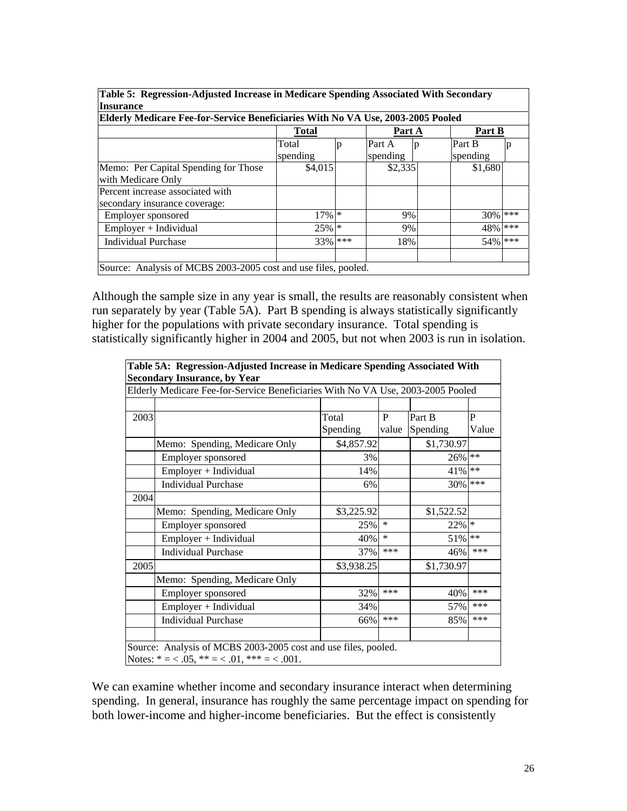| Table 5: Regression-Adjusted Increase in Medicare Spending Associated With Secondary |            |        |          |                                                                |          |       |  |  |  |  |  |  |
|--------------------------------------------------------------------------------------|------------|--------|----------|----------------------------------------------------------------|----------|-------|--|--|--|--|--|--|
| <b>Insurance</b>                                                                     |            |        |          |                                                                |          |       |  |  |  |  |  |  |
| Elderly Medicare Fee-for-Service Beneficiaries With No VA Use, 2003-2005 Pooled      |            |        |          |                                                                |          |       |  |  |  |  |  |  |
|                                                                                      | Total      |        | Part A   |                                                                | Part B   |       |  |  |  |  |  |  |
|                                                                                      | Total<br>p |        | Part A   | p                                                              | Part B   |       |  |  |  |  |  |  |
|                                                                                      | spending   |        | spending |                                                                | spending |       |  |  |  |  |  |  |
| Memo: Per Capital Spending for Those                                                 | \$4,015    |        | \$2,335  |                                                                | \$1,680  |       |  |  |  |  |  |  |
| with Medicare Only                                                                   |            |        |          |                                                                |          |       |  |  |  |  |  |  |
| Percent increase associated with                                                     |            |        |          |                                                                |          |       |  |  |  |  |  |  |
| secondary insurance coverage:                                                        |            |        |          |                                                                |          |       |  |  |  |  |  |  |
| Employer sponsored                                                                   | 17%        | $\ast$ | 9%       |                                                                | 30%      | ***   |  |  |  |  |  |  |
| $Employer + Individual$                                                              | $25\%$ *   |        | 9%       |                                                                | 48%      | ***   |  |  |  |  |  |  |
| <b>Individual Purchase</b>                                                           | 33%        | ***    | 18%      |                                                                | 54%      | $***$ |  |  |  |  |  |  |
|                                                                                      |            |        |          |                                                                |          |       |  |  |  |  |  |  |
|                                                                                      |            |        |          | Source: Analysis of MCBS 2003-2005 cost and use files, pooled. |          |       |  |  |  |  |  |  |

**Table 5: Regression-Adjusted Increase in Medicare Spending Associated With Secondary** 

Although the sample size in any year is small, the results are reasonably consistent when run separately by year (Table 5A). Part B spending is always statistically significantly higher for the populations with private secondary insurance. Total spending is statistically significantly higher in 2004 and 2005, but not when 2003 is run in isolation.

|      | Table 5A: Regression-Adjusted Increase in Medicare Spending Associated With<br><b>Secondary Insurance, by Year</b>  |            |              |            |        |  |  |  |  |
|------|---------------------------------------------------------------------------------------------------------------------|------------|--------------|------------|--------|--|--|--|--|
|      | Elderly Medicare Fee-for-Service Beneficiaries With No VA Use, 2003-2005 Pooled                                     |            |              |            |        |  |  |  |  |
|      |                                                                                                                     |            |              |            |        |  |  |  |  |
| 2003 |                                                                                                                     | Total      | $\mathbf{P}$ | Part B     | P      |  |  |  |  |
|      |                                                                                                                     | Spending   | value        | Spending   | Value  |  |  |  |  |
|      | Memo: Spending, Medicare Only                                                                                       | \$4,857.92 |              | \$1,730.97 |        |  |  |  |  |
|      | Employer sponsored                                                                                                  | 3%         |              | 26%        | $**$   |  |  |  |  |
|      | Employer + Individual                                                                                               | 14%        |              | 41%        | $**$   |  |  |  |  |
|      | <b>Individual Purchase</b>                                                                                          | 6%         |              | 30%        | ***    |  |  |  |  |
| 2004 |                                                                                                                     |            |              |            |        |  |  |  |  |
|      | Memo: Spending, Medicare Only                                                                                       | \$3,225.92 |              | \$1,522.52 |        |  |  |  |  |
|      | Employer sponsored                                                                                                  | 25%        | $\ast$       | 22%        | $\ast$ |  |  |  |  |
|      | Employer + Individual                                                                                               | 40%        | $\ast$       | 51%        | $**$   |  |  |  |  |
|      | <b>Individual Purchase</b>                                                                                          | 37%        | ***          | 46%        | ***    |  |  |  |  |
| 2005 |                                                                                                                     | \$3,938.25 |              | \$1,730.97 |        |  |  |  |  |
|      | Memo: Spending, Medicare Only                                                                                       |            |              |            |        |  |  |  |  |
|      | Employer sponsored                                                                                                  | 32%        | ***          | 40%        | ***    |  |  |  |  |
|      | Employer + Individual                                                                                               | 34%        |              | 57%        | ***    |  |  |  |  |
|      | <b>Individual Purchase</b>                                                                                          | 66%        | ***          | 85%        | ***    |  |  |  |  |
|      |                                                                                                                     |            |              |            |        |  |  |  |  |
|      | Source: Analysis of MCBS 2003-2005 cost and use files, pooled.<br>Notes: $* = <.05$ , $** = <.01$ , $*** = <.001$ . |            |              |            |        |  |  |  |  |

We can examine whether income and secondary insurance interact when determining spending. In general, insurance has roughly the same percentage impact on spending for both lower-income and higher-income beneficiaries. But the effect is consistently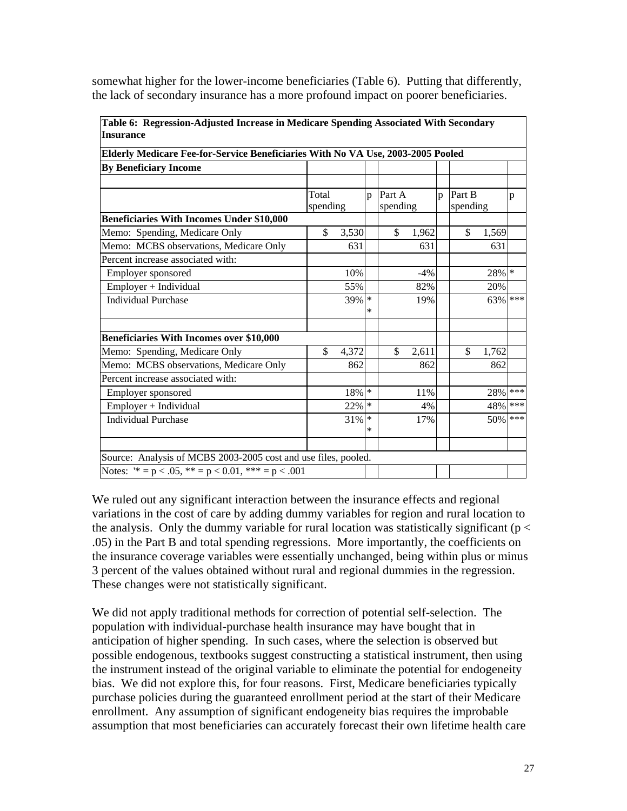| Table 6: Regression-Adjusted Increase in Medicare Spending Associated With Secondary |                   |          |              |                    |       |              |                    |       |       |
|--------------------------------------------------------------------------------------|-------------------|----------|--------------|--------------------|-------|--------------|--------------------|-------|-------|
| <b>Insurance</b>                                                                     |                   |          |              |                    |       |              |                    |       |       |
| Elderly Medicare Fee-for-Service Beneficiaries With No VA Use, 2003-2005 Pooled      |                   |          |              |                    |       |              |                    |       |       |
| <b>By Beneficiary Income</b>                                                         |                   |          |              |                    |       |              |                    |       |       |
|                                                                                      |                   |          |              |                    |       |              |                    |       |       |
|                                                                                      | Total<br>spending |          | $\mathbf{D}$ | Part A<br>spending |       | $\mathbf{D}$ | Part B<br>spending |       | p     |
| <b>Beneficiaries With Incomes Under \$10,000</b>                                     |                   |          |              |                    |       |              |                    |       |       |
| Memo: Spending, Medicare Only                                                        | \$                | 3,530    |              | \$                 | 1,962 |              | \$                 | 1,569 |       |
| Memo: MCBS observations, Medicare Only                                               |                   | 631      |              |                    | 631   |              |                    | 631   |       |
| Percent increase associated with:                                                    |                   |          |              |                    |       |              |                    |       |       |
| Employer sponsored                                                                   |                   | 10%      |              |                    | $-4%$ |              |                    | 28% * |       |
| Employer + Individual                                                                |                   | 55%      |              |                    | 82%   |              |                    | 20%   |       |
| <b>Individual Purchase</b>                                                           |                   | 39%      | $\ast$<br>*  |                    | 19%   |              |                    | 63%   | ***   |
| <b>Beneficiaries With Incomes over \$10,000</b>                                      |                   |          |              |                    |       |              |                    |       |       |
| Memo: Spending, Medicare Only                                                        | \$                | 4,372    |              | \$                 | 2,611 |              | \$                 | 1,762 |       |
| Memo: MCBS observations, Medicare Only                                               |                   | 862      |              |                    | 862   |              |                    | 862   |       |
| Percent increase associated with:                                                    |                   |          |              |                    |       |              |                    |       |       |
| Employer sponsored                                                                   |                   | $18\%$ * |              |                    | 11%   |              |                    | 28%   | $***$ |
| Employer + Individual                                                                |                   | $22\%$ * |              |                    | 4%    |              |                    | 48%   | ***   |
| <b>Individual Purchase</b>                                                           |                   | 31%      | $\ast$<br>*  |                    | 17%   |              |                    | 50%   | ***   |
|                                                                                      |                   |          |              |                    |       |              |                    |       |       |
| Source: Analysis of MCBS 2003-2005 cost and use files, pooled.                       |                   |          |              |                    |       |              |                    |       |       |
| Notes: $4^{*} = p < .05$ , $4^{*} = p < .001$ , $4^{*} = p < .001$                   |                   |          |              |                    |       |              |                    |       |       |

somewhat higher for the lower-income beneficiaries (Table 6). Putting that differently, the lack of secondary insurance has a more profound impact on poorer beneficiaries.

We ruled out any significant interaction between the insurance effects and regional variations in the cost of care by adding dummy variables for region and rural location to the analysis. Only the dummy variable for rural location was statistically significant ( $p <$ .05) in the Part B and total spending regressions. More importantly, the coefficients on the insurance coverage variables were essentially unchanged, being within plus or minus 3 percent of the values obtained without rural and regional dummies in the regression. These changes were not statistically significant.

We did not apply traditional methods for correction of potential self-selection. The population with individual-purchase health insurance may have bought that in anticipation of higher spending. In such cases, where the selection is observed but possible endogenous, textbooks suggest constructing a statistical instrument, then using the instrument instead of the original variable to eliminate the potential for endogeneity bias. We did not explore this, for four reasons. First, Medicare beneficiaries typically purchase policies during the guaranteed enrollment period at the start of their Medicare enrollment. Any assumption of significant endogeneity bias requires the improbable assumption that most beneficiaries can accurately forecast their own lifetime health care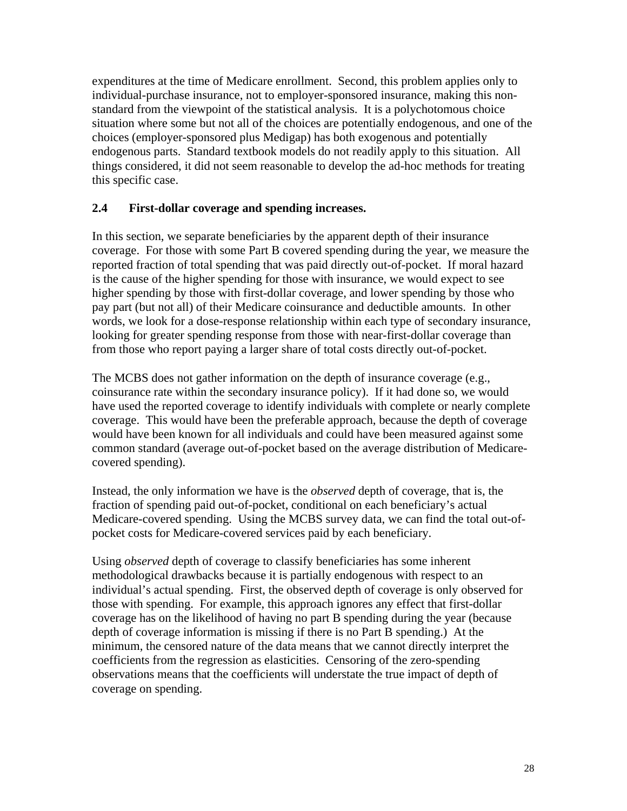expenditures at the time of Medicare enrollment. Second, this problem applies only to individual-purchase insurance, not to employer-sponsored insurance, making this nonstandard from the viewpoint of the statistical analysis. It is a polychotomous choice situation where some but not all of the choices are potentially endogenous, and one of the choices (employer-sponsored plus Medigap) has both exogenous and potentially endogenous parts. Standard textbook models do not readily apply to this situation. All things considered, it did not seem reasonable to develop the ad-hoc methods for treating this specific case.

### **2.4 First-dollar coverage and spending increases.**

In this section, we separate beneficiaries by the apparent depth of their insurance coverage. For those with some Part B covered spending during the year, we measure the reported fraction of total spending that was paid directly out-of-pocket. If moral hazard is the cause of the higher spending for those with insurance, we would expect to see higher spending by those with first-dollar coverage, and lower spending by those who pay part (but not all) of their Medicare coinsurance and deductible amounts. In other words, we look for a dose-response relationship within each type of secondary insurance, looking for greater spending response from those with near-first-dollar coverage than from those who report paying a larger share of total costs directly out-of-pocket.

The MCBS does not gather information on the depth of insurance coverage (e.g., coinsurance rate within the secondary insurance policy). If it had done so, we would have used the reported coverage to identify individuals with complete or nearly complete coverage. This would have been the preferable approach, because the depth of coverage would have been known for all individuals and could have been measured against some common standard (average out-of-pocket based on the average distribution of Medicarecovered spending).

Instead, the only information we have is the *observed* depth of coverage, that is, the fraction of spending paid out-of-pocket, conditional on each beneficiary's actual Medicare-covered spending. Using the MCBS survey data, we can find the total out-ofpocket costs for Medicare-covered services paid by each beneficiary.

Using *observed* depth of coverage to classify beneficiaries has some inherent methodological drawbacks because it is partially endogenous with respect to an individual's actual spending. First, the observed depth of coverage is only observed for those with spending. For example, this approach ignores any effect that first-dollar coverage has on the likelihood of having no part B spending during the year (because depth of coverage information is missing if there is no Part B spending.) At the minimum, the censored nature of the data means that we cannot directly interpret the coefficients from the regression as elasticities. Censoring of the zero-spending observations means that the coefficients will understate the true impact of depth of coverage on spending.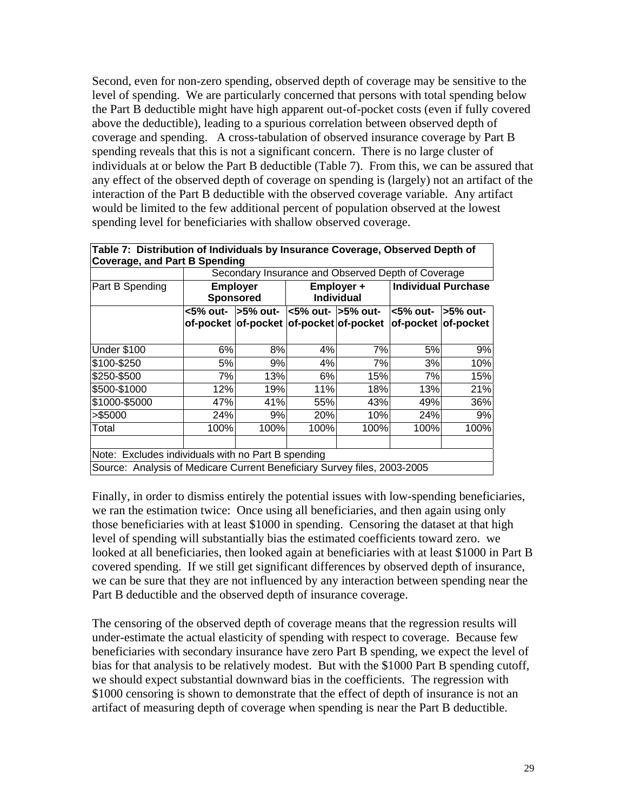Second, even for non-zero spending, observed depth of coverage may be sensitive to the level of spending. We are particularly concerned that persons with total spending below the Part B deductible might have high apparent out-of-pocket costs (even if fully covered above the deductible), leading to a spurious correlation between observed depth of coverage and spending. A cross-tabulation of observed insurance coverage by Part B spending reveals that this is not a significant concern. There is no large cluster of individuals at or below the Part B deductible (Table 7). From this, we can be assured that any effect of the observed depth of coverage on spending is (largely) not an artifact of the interaction of the Part B deductible with the observed coverage variable. Any artifact would be limited to the few additional percent of population observed at the lowest spending level for beneficiaries with shallow observed coverage.

| Table 7: Distribution of Individuals by Insurance Coverage, Observed Depth of<br><b>Coverage, and Part B Spending</b>          |      |                                             |      |                                                    |                             |                     |  |  |  |  |
|--------------------------------------------------------------------------------------------------------------------------------|------|---------------------------------------------|------|----------------------------------------------------|-----------------------------|---------------------|--|--|--|--|
|                                                                                                                                |      |                                             |      | Secondary Insurance and Observed Depth of Coverage |                             |                     |  |  |  |  |
| Part B Spending                                                                                                                |      | <b>Employer</b><br><b>Sponsored</b>         |      | Employer +<br><b>Individual</b>                    | <b>Individual Purchase</b>  |                     |  |  |  |  |
|                                                                                                                                |      | <5% out-   l>5% out-   l<5% out-  l>5% out- |      | of-pocket of-pocket of-pocket of-pocket            | $<$ 5% out- $\mid$ >5% out- | of-pocket of-pocket |  |  |  |  |
| <b>Under \$100</b>                                                                                                             | 6%   | 8%                                          | 4%   | 7%                                                 | 5%                          | 9%                  |  |  |  |  |
| \$100-\$250                                                                                                                    | 5%   | 9%                                          | 4%   | 7%                                                 | 3%                          | 10%                 |  |  |  |  |
| \$250-\$500                                                                                                                    | 7%   | 13%                                         | 6%   | 15%                                                | 7%                          | 15%                 |  |  |  |  |
| \$500-\$1000                                                                                                                   | 12%  | 19%                                         | 11%  | 18%                                                | 13%                         | 21%                 |  |  |  |  |
| \$1000-\$5000                                                                                                                  | 47%  | 41%                                         | 55%  | 43%                                                | 49%                         | 36%                 |  |  |  |  |
| >\$5000                                                                                                                        | 24%  | 9%                                          | 20%  | 10%                                                | 24%                         | 9%                  |  |  |  |  |
| Total                                                                                                                          | 100% | 100%                                        | 100% | 100%                                               | 100%                        | 100%                |  |  |  |  |
| Note: Excludes individuals with no Part B spending<br>Source: Analysis of Medicare Current Beneficiary Survey files, 2003-2005 |      |                                             |      |                                                    |                             |                     |  |  |  |  |

Finally, in order to dismiss entirely the potential issues with low-spending beneficiaries, we ran the estimation twice: Once using all beneficiaries, and then again using only those beneficiaries with at least \$1000 in spending. Censoring the dataset at that high level of spending will substantially bias the estimated coefficients toward zero. we looked at all beneficiaries, then looked again at beneficiaries with at least \$1000 in Part B covered spending. If we still get significant differences by observed depth of insurance, we can be sure that they are not influenced by any interaction between spending near the Part B deductible and the observed depth of insurance coverage.

The censoring of the observed depth of coverage means that the regression results will under-estimate the actual elasticity of spending with respect to coverage. Because few beneficiaries with secondary insurance have zero Part B spending, we expect the level of bias for that analysis to be relatively modest. But with the \$1000 Part B spending cutoff, we should expect substantial downward bias in the coefficients. The regression with \$1000 censoring is shown to demonstrate that the effect of depth of insurance is not an artifact of measuring depth of coverage when spending is near the Part B deductible.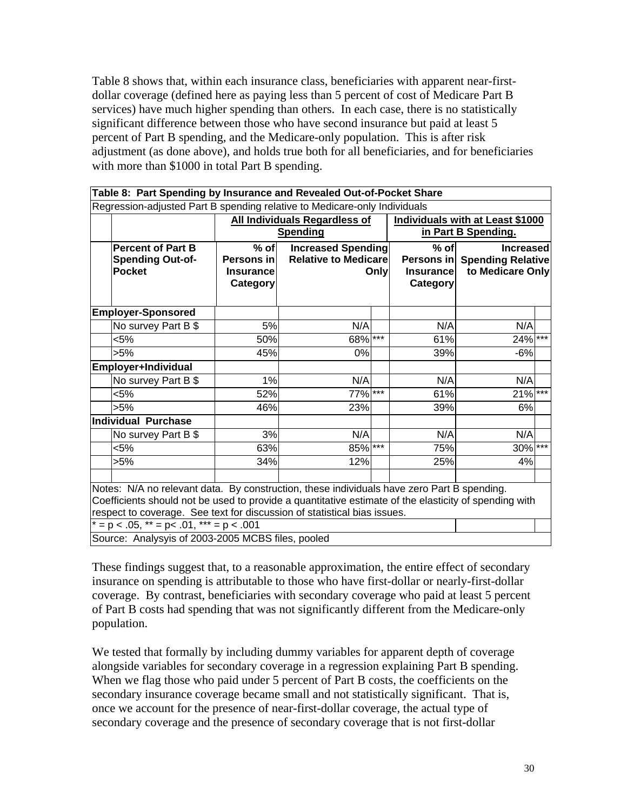Table 8 shows that, within each insurance class, beneficiaries with apparent near-firstdollar coverage (defined here as paying less than 5 percent of cost of Medicare Part B services) have much higher spending than others. In each case, there is no statistically significant difference between those who have second insurance but paid at least 5 percent of Part B spending, and the Medicare-only population. This is after risk adjustment (as done above), and holds true both for all beneficiaries, and for beneficiaries with more than \$1000 in total Part B spending.

| Table 8: Part Spending by Insurance and Revealed Out-of-Pocket Share                                                                                                                                                                                                                                                                |                                                      |                                                                                                                    |  |                                        |                                                                      |  |  |
|-------------------------------------------------------------------------------------------------------------------------------------------------------------------------------------------------------------------------------------------------------------------------------------------------------------------------------------|------------------------------------------------------|--------------------------------------------------------------------------------------------------------------------|--|----------------------------------------|----------------------------------------------------------------------|--|--|
| Regression-adjusted Part B spending relative to Medicare-only Individuals                                                                                                                                                                                                                                                           |                                                      |                                                                                                                    |  |                                        |                                                                      |  |  |
|                                                                                                                                                                                                                                                                                                                                     |                                                      | <b>All Individuals Regardless of</b><br>Individuals with at Least \$1000<br><b>Spending</b><br>in Part B Spending. |  |                                        |                                                                      |  |  |
| <b>Percent of Part B</b><br><b>Spending Out-of-</b><br><b>Pocket</b>                                                                                                                                                                                                                                                                | $%$ of<br>Persons in<br><b>Insurance</b><br>Category | <b>Increased Spending</b><br><b>Relative to Medicare</b><br>Only                                                   |  | $%$ of<br><b>Insurance</b><br>Category | <b>Increased</b><br>Persons in Spending Relative<br>to Medicare Only |  |  |
| <b>Employer-Sponsored</b>                                                                                                                                                                                                                                                                                                           |                                                      |                                                                                                                    |  |                                        |                                                                      |  |  |
| No survey Part B \$                                                                                                                                                                                                                                                                                                                 | 5%                                                   | N/A                                                                                                                |  | N/A                                    | N/A                                                                  |  |  |
| $< 5\%$                                                                                                                                                                                                                                                                                                                             | 50%                                                  | 68%                                                                                                                |  | 61%                                    | $24\%$ ***                                                           |  |  |
| $>5\%$                                                                                                                                                                                                                                                                                                                              | 45%                                                  | $0\%$                                                                                                              |  | 39%                                    | $-6%$                                                                |  |  |
| Employer+Individual                                                                                                                                                                                                                                                                                                                 |                                                      |                                                                                                                    |  |                                        |                                                                      |  |  |
| No survey Part B \$                                                                                                                                                                                                                                                                                                                 | 1%                                                   | N/A                                                                                                                |  | N/A                                    | N/A                                                                  |  |  |
| $< 5\%$                                                                                                                                                                                                                                                                                                                             | 52%                                                  | $77\%$ ***                                                                                                         |  | 61%                                    | $21\%$ ***                                                           |  |  |
| $>5\%$                                                                                                                                                                                                                                                                                                                              | 46%                                                  | 23%                                                                                                                |  | 39%                                    | 6%                                                                   |  |  |
| <b>Individual Purchase</b>                                                                                                                                                                                                                                                                                                          |                                                      |                                                                                                                    |  |                                        |                                                                      |  |  |
| No survey Part B \$                                                                                                                                                                                                                                                                                                                 | 3%                                                   | N/A                                                                                                                |  | N/A                                    | N/A                                                                  |  |  |
| < 5%                                                                                                                                                                                                                                                                                                                                | 63%                                                  | 85%                                                                                                                |  | 75%                                    | $30\%$ ***                                                           |  |  |
| $>5\%$                                                                                                                                                                                                                                                                                                                              | 34%                                                  | 12%                                                                                                                |  | 25%                                    | 4%                                                                   |  |  |
| Notes: N/A no relevant data. By construction, these individuals have zero Part B spending.<br>Coefficients should not be used to provide a quantitative estimate of the elasticity of spending with<br>respect to coverage. See text for discussion of statistical bias issues.<br>$* = p < .05$ , $** = p < .01$ , $** = p < .001$ |                                                      |                                                                                                                    |  |                                        |                                                                      |  |  |
| Source: Analysyis of 2003-2005 MCBS files, pooled                                                                                                                                                                                                                                                                                   |                                                      |                                                                                                                    |  |                                        |                                                                      |  |  |

These findings suggest that, to a reasonable approximation, the entire effect of secondary insurance on spending is attributable to those who have first-dollar or nearly-first-dollar coverage. By contrast, beneficiaries with secondary coverage who paid at least 5 percent of Part B costs had spending that was not significantly different from the Medicare-only population.

We tested that formally by including dummy variables for apparent depth of coverage alongside variables for secondary coverage in a regression explaining Part B spending. When we flag those who paid under 5 percent of Part B costs, the coefficients on the secondary insurance coverage became small and not statistically significant. That is, once we account for the presence of near-first-dollar coverage, the actual type of secondary coverage and the presence of secondary coverage that is not first-dollar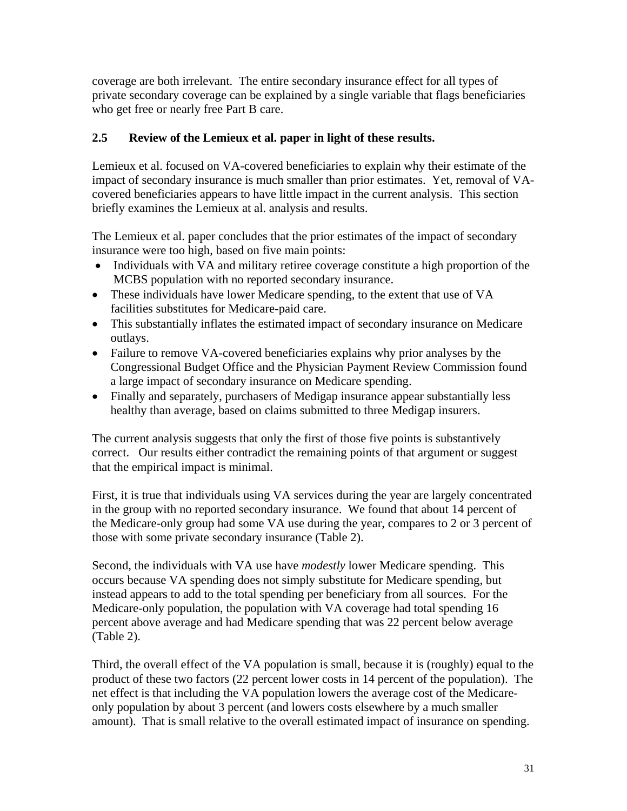coverage are both irrelevant. The entire secondary insurance effect for all types of private secondary coverage can be explained by a single variable that flags beneficiaries who get free or nearly free Part B care.

## **2.5 Review of the Lemieux et al. paper in light of these results.**

Lemieux et al. focused on VA-covered beneficiaries to explain why their estimate of the impact of secondary insurance is much smaller than prior estimates. Yet, removal of VAcovered beneficiaries appears to have little impact in the current analysis. This section briefly examines the Lemieux at al. analysis and results.

The Lemieux et al. paper concludes that the prior estimates of the impact of secondary insurance were too high, based on five main points:

- Individuals with VA and military retiree coverage constitute a high proportion of the MCBS population with no reported secondary insurance.
- These individuals have lower Medicare spending, to the extent that use of VA facilities substitutes for Medicare-paid care.
- This substantially inflates the estimated impact of secondary insurance on Medicare outlays.
- Failure to remove VA-covered beneficiaries explains why prior analyses by the Congressional Budget Office and the Physician Payment Review Commission found a large impact of secondary insurance on Medicare spending.
- Finally and separately, purchasers of Medigap insurance appear substantially less healthy than average, based on claims submitted to three Medigap insurers.

The current analysis suggests that only the first of those five points is substantively correct. Our results either contradict the remaining points of that argument or suggest that the empirical impact is minimal.

First, it is true that individuals using VA services during the year are largely concentrated in the group with no reported secondary insurance. We found that about 14 percent of the Medicare-only group had some VA use during the year, compares to 2 or 3 percent of those with some private secondary insurance (Table 2).

Second, the individuals with VA use have *modestly* lower Medicare spending. This occurs because VA spending does not simply substitute for Medicare spending, but instead appears to add to the total spending per beneficiary from all sources. For the Medicare-only population, the population with VA coverage had total spending 16 percent above average and had Medicare spending that was 22 percent below average (Table 2).

Third, the overall effect of the VA population is small, because it is (roughly) equal to the product of these two factors (22 percent lower costs in 14 percent of the population). The net effect is that including the VA population lowers the average cost of the Medicareonly population by about 3 percent (and lowers costs elsewhere by a much smaller amount). That is small relative to the overall estimated impact of insurance on spending.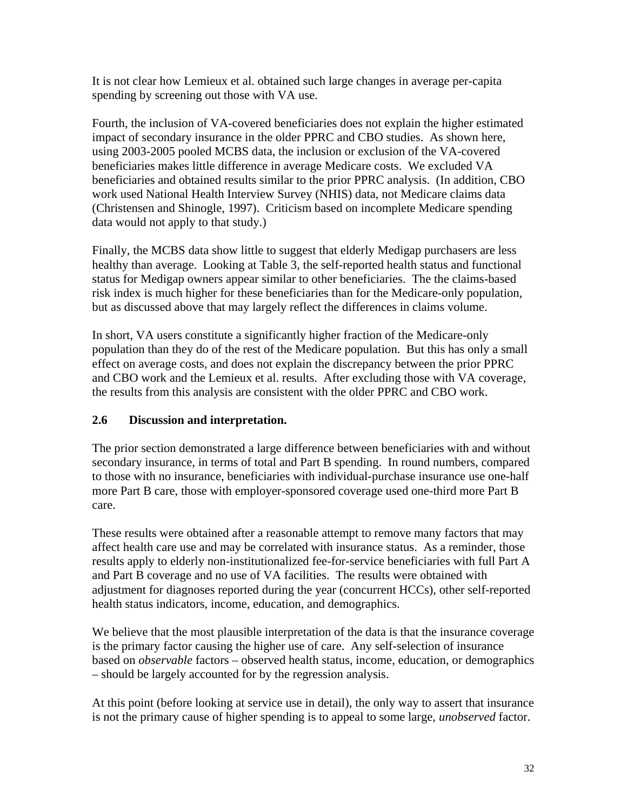It is not clear how Lemieux et al. obtained such large changes in average per-capita spending by screening out those with VA use.

Fourth, the inclusion of VA-covered beneficiaries does not explain the higher estimated impact of secondary insurance in the older PPRC and CBO studies. As shown here, using 2003-2005 pooled MCBS data, the inclusion or exclusion of the VA-covered beneficiaries makes little difference in average Medicare costs. We excluded VA beneficiaries and obtained results similar to the prior PPRC analysis. (In addition, CBO work used National Health Interview Survey (NHIS) data, not Medicare claims data (Christensen and Shinogle, 1997). Criticism based on incomplete Medicare spending data would not apply to that study.)

Finally, the MCBS data show little to suggest that elderly Medigap purchasers are less healthy than average. Looking at Table 3, the self-reported health status and functional status for Medigap owners appear similar to other beneficiaries. The the claims-based risk index is much higher for these beneficiaries than for the Medicare-only population, but as discussed above that may largely reflect the differences in claims volume.

In short, VA users constitute a significantly higher fraction of the Medicare-only population than they do of the rest of the Medicare population. But this has only a small effect on average costs, and does not explain the discrepancy between the prior PPRC and CBO work and the Lemieux et al. results. After excluding those with VA coverage, the results from this analysis are consistent with the older PPRC and CBO work.

## **2.6 Discussion and interpretation.**

The prior section demonstrated a large difference between beneficiaries with and without secondary insurance, in terms of total and Part B spending. In round numbers, compared to those with no insurance, beneficiaries with individual-purchase insurance use one-half more Part B care, those with employer-sponsored coverage used one-third more Part B care.

These results were obtained after a reasonable attempt to remove many factors that may affect health care use and may be correlated with insurance status. As a reminder, those results apply to elderly non-institutionalized fee-for-service beneficiaries with full Part A and Part B coverage and no use of VA facilities. The results were obtained with adjustment for diagnoses reported during the year (concurrent HCCs), other self-reported health status indicators, income, education, and demographics.

We believe that the most plausible interpretation of the data is that the insurance coverage is the primary factor causing the higher use of care. Any self-selection of insurance based on *observable* factors – observed health status, income, education, or demographics – should be largely accounted for by the regression analysis.

At this point (before looking at service use in detail), the only way to assert that insurance is not the primary cause of higher spending is to appeal to some large, *unobserved* factor.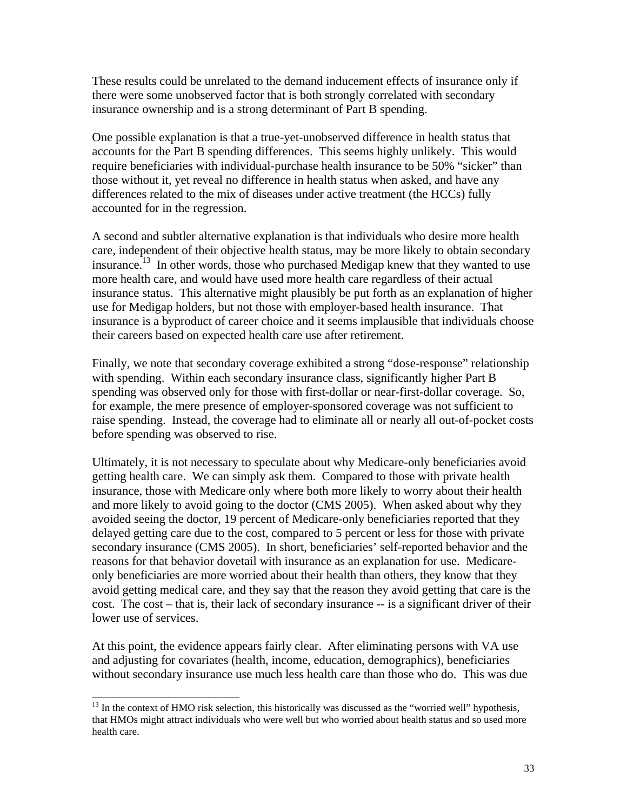These results could be unrelated to the demand inducement effects of insurance only if there were some unobserved factor that is both strongly correlated with secondary insurance ownership and is a strong determinant of Part B spending.

One possible explanation is that a true-yet-unobserved difference in health status that accounts for the Part B spending differences. This seems highly unlikely. This would require beneficiaries with individual-purchase health insurance to be 50% "sicker" than those without it, yet reveal no difference in health status when asked, and have any differences related to the mix of diseases under active treatment (the HCCs) fully accounted for in the regression.

A second and subtler alternative explanation is that individuals who desire more health care, independent of their objective health status, may be more likely to obtain secondary insurance.<sup>13</sup> In other words, those who purchased Medigap knew that they wanted to use more health care, and would have used more health care regardless of their actual insurance status. This alternative might plausibly be put forth as an explanation of higher use for Medigap holders, but not those with employer-based health insurance. That insurance is a byproduct of career choice and it seems implausible that individuals choose their careers based on expected health care use after retirement.

Finally, we note that secondary coverage exhibited a strong "dose-response" relationship with spending. Within each secondary insurance class, significantly higher Part B spending was observed only for those with first-dollar or near-first-dollar coverage. So, for example, the mere presence of employer-sponsored coverage was not sufficient to raise spending. Instead, the coverage had to eliminate all or nearly all out-of-pocket costs before spending was observed to rise.

Ultimately, it is not necessary to speculate about why Medicare-only beneficiaries avoid getting health care. We can simply ask them. Compared to those with private health insurance, those with Medicare only where both more likely to worry about their health and more likely to avoid going to the doctor (CMS 2005). When asked about why they avoided seeing the doctor, 19 percent of Medicare-only beneficiaries reported that they delayed getting care due to the cost, compared to 5 percent or less for those with private secondary insurance (CMS 2005). In short, beneficiaries' self-reported behavior and the reasons for that behavior dovetail with insurance as an explanation for use. Medicareonly beneficiaries are more worried about their health than others, they know that they avoid getting medical care, and they say that the reason they avoid getting that care is the cost. The cost – that is, their lack of secondary insurance -- is a significant driver of their lower use of services.

At this point, the evidence appears fairly clear. After eliminating persons with VA use and adjusting for covariates (health, income, education, demographics), beneficiaries without secondary insurance use much less health care than those who do. This was due

l

 $<sup>13</sup>$  In the context of HMO risk selection, this historically was discussed as the "worried well" hypothesis,</sup> that HMOs might attract individuals who were well but who worried about health status and so used more health care.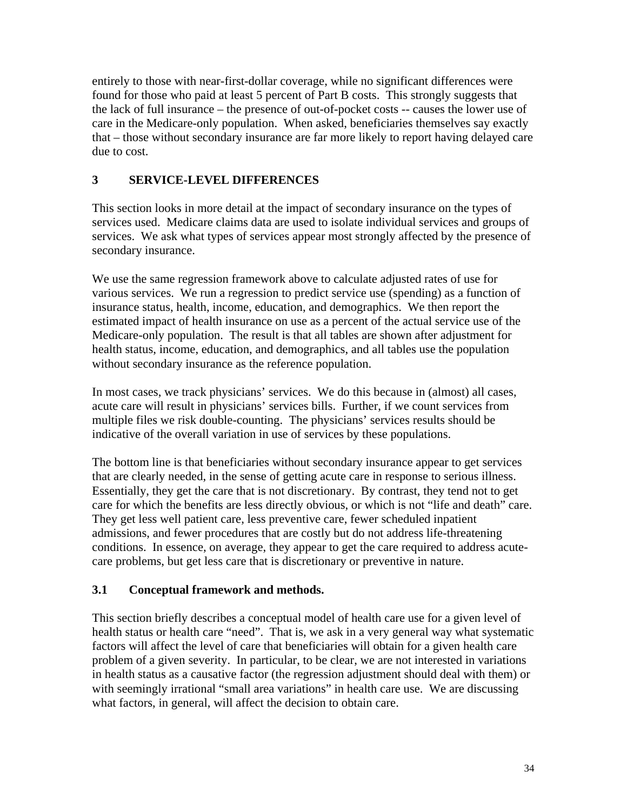entirely to those with near-first-dollar coverage, while no significant differences were found for those who paid at least 5 percent of Part B costs. This strongly suggests that the lack of full insurance – the presence of out-of-pocket costs -- causes the lower use of care in the Medicare-only population. When asked, beneficiaries themselves say exactly that – those without secondary insurance are far more likely to report having delayed care due to cost.

## **3 SERVICE-LEVEL DIFFERENCES**

This section looks in more detail at the impact of secondary insurance on the types of services used. Medicare claims data are used to isolate individual services and groups of services. We ask what types of services appear most strongly affected by the presence of secondary insurance.

We use the same regression framework above to calculate adjusted rates of use for various services. We run a regression to predict service use (spending) as a function of insurance status, health, income, education, and demographics. We then report the estimated impact of health insurance on use as a percent of the actual service use of the Medicare-only population. The result is that all tables are shown after adjustment for health status, income, education, and demographics, and all tables use the population without secondary insurance as the reference population.

In most cases, we track physicians' services. We do this because in (almost) all cases, acute care will result in physicians' services bills. Further, if we count services from multiple files we risk double-counting. The physicians' services results should be indicative of the overall variation in use of services by these populations.

The bottom line is that beneficiaries without secondary insurance appear to get services that are clearly needed, in the sense of getting acute care in response to serious illness. Essentially, they get the care that is not discretionary. By contrast, they tend not to get care for which the benefits are less directly obvious, or which is not "life and death" care. They get less well patient care, less preventive care, fewer scheduled inpatient admissions, and fewer procedures that are costly but do not address life-threatening conditions. In essence, on average, they appear to get the care required to address acutecare problems, but get less care that is discretionary or preventive in nature.

## **3.1 Conceptual framework and methods.**

This section briefly describes a conceptual model of health care use for a given level of health status or health care "need". That is, we ask in a very general way what systematic factors will affect the level of care that beneficiaries will obtain for a given health care problem of a given severity. In particular, to be clear, we are not interested in variations in health status as a causative factor (the regression adjustment should deal with them) or with seemingly irrational "small area variations" in health care use. We are discussing what factors, in general, will affect the decision to obtain care.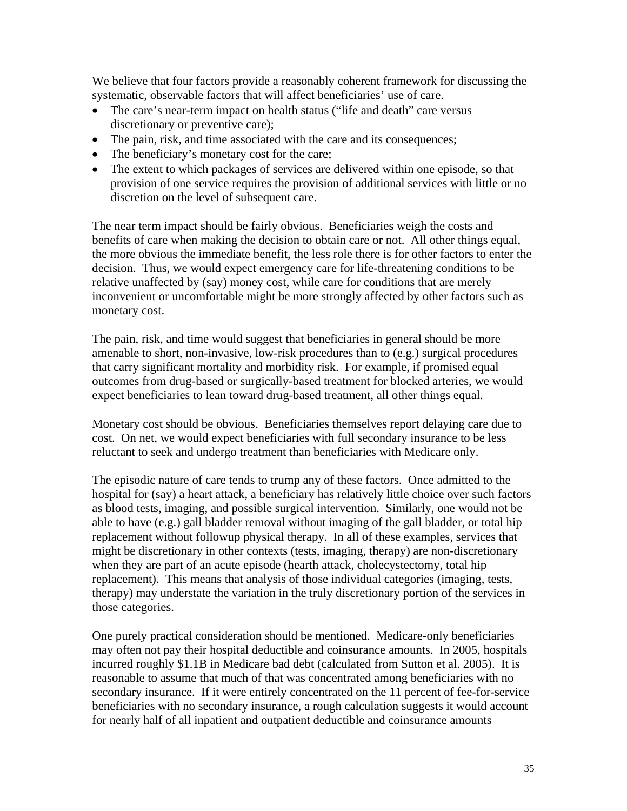We believe that four factors provide a reasonably coherent framework for discussing the systematic, observable factors that will affect beneficiaries' use of care.

- The care's near-term impact on health status ("life and death" care versus discretionary or preventive care);
- The pain, risk, and time associated with the care and its consequences;
- The beneficiary's monetary cost for the care;
- The extent to which packages of services are delivered within one episode, so that provision of one service requires the provision of additional services with little or no discretion on the level of subsequent care.

The near term impact should be fairly obvious. Beneficiaries weigh the costs and benefits of care when making the decision to obtain care or not. All other things equal, the more obvious the immediate benefit, the less role there is for other factors to enter the decision. Thus, we would expect emergency care for life-threatening conditions to be relative unaffected by (say) money cost, while care for conditions that are merely inconvenient or uncomfortable might be more strongly affected by other factors such as monetary cost.

The pain, risk, and time would suggest that beneficiaries in general should be more amenable to short, non-invasive, low-risk procedures than to (e.g.) surgical procedures that carry significant mortality and morbidity risk. For example, if promised equal outcomes from drug-based or surgically-based treatment for blocked arteries, we would expect beneficiaries to lean toward drug-based treatment, all other things equal.

Monetary cost should be obvious. Beneficiaries themselves report delaying care due to cost. On net, we would expect beneficiaries with full secondary insurance to be less reluctant to seek and undergo treatment than beneficiaries with Medicare only.

The episodic nature of care tends to trump any of these factors. Once admitted to the hospital for (say) a heart attack, a beneficiary has relatively little choice over such factors as blood tests, imaging, and possible surgical intervention. Similarly, one would not be able to have (e.g.) gall bladder removal without imaging of the gall bladder, or total hip replacement without followup physical therapy. In all of these examples, services that might be discretionary in other contexts (tests, imaging, therapy) are non-discretionary when they are part of an acute episode (hearth attack, cholecystectomy, total hip replacement). This means that analysis of those individual categories (imaging, tests, therapy) may understate the variation in the truly discretionary portion of the services in those categories.

One purely practical consideration should be mentioned. Medicare-only beneficiaries may often not pay their hospital deductible and coinsurance amounts. In 2005, hospitals incurred roughly \$1.1B in Medicare bad debt (calculated from Sutton et al. 2005). It is reasonable to assume that much of that was concentrated among beneficiaries with no secondary insurance. If it were entirely concentrated on the 11 percent of fee-for-service beneficiaries with no secondary insurance, a rough calculation suggests it would account for nearly half of all inpatient and outpatient deductible and coinsurance amounts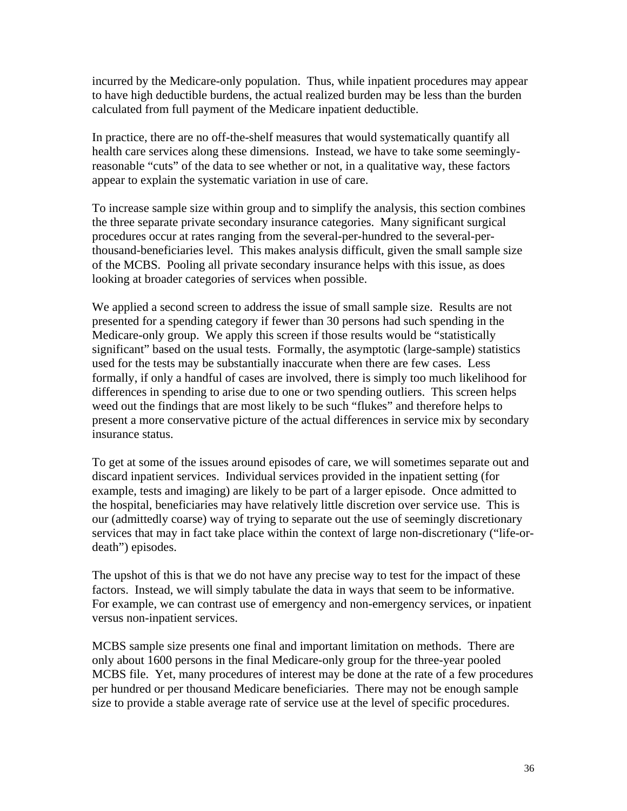incurred by the Medicare-only population. Thus, while inpatient procedures may appear to have high deductible burdens, the actual realized burden may be less than the burden calculated from full payment of the Medicare inpatient deductible.

In practice, there are no off-the-shelf measures that would systematically quantify all health care services along these dimensions. Instead, we have to take some seeminglyreasonable "cuts" of the data to see whether or not, in a qualitative way, these factors appear to explain the systematic variation in use of care.

To increase sample size within group and to simplify the analysis, this section combines the three separate private secondary insurance categories. Many significant surgical procedures occur at rates ranging from the several-per-hundred to the several-perthousand-beneficiaries level. This makes analysis difficult, given the small sample size of the MCBS. Pooling all private secondary insurance helps with this issue, as does looking at broader categories of services when possible.

We applied a second screen to address the issue of small sample size. Results are not presented for a spending category if fewer than 30 persons had such spending in the Medicare-only group. We apply this screen if those results would be "statistically significant" based on the usual tests. Formally, the asymptotic (large-sample) statistics used for the tests may be substantially inaccurate when there are few cases. Less formally, if only a handful of cases are involved, there is simply too much likelihood for differences in spending to arise due to one or two spending outliers. This screen helps weed out the findings that are most likely to be such "flukes" and therefore helps to present a more conservative picture of the actual differences in service mix by secondary insurance status.

To get at some of the issues around episodes of care, we will sometimes separate out and discard inpatient services. Individual services provided in the inpatient setting (for example, tests and imaging) are likely to be part of a larger episode. Once admitted to the hospital, beneficiaries may have relatively little discretion over service use. This is our (admittedly coarse) way of trying to separate out the use of seemingly discretionary services that may in fact take place within the context of large non-discretionary ("life-ordeath") episodes.

The upshot of this is that we do not have any precise way to test for the impact of these factors. Instead, we will simply tabulate the data in ways that seem to be informative. For example, we can contrast use of emergency and non-emergency services, or inpatient versus non-inpatient services.

MCBS sample size presents one final and important limitation on methods. There are only about 1600 persons in the final Medicare-only group for the three-year pooled MCBS file. Yet, many procedures of interest may be done at the rate of a few procedures per hundred or per thousand Medicare beneficiaries. There may not be enough sample size to provide a stable average rate of service use at the level of specific procedures.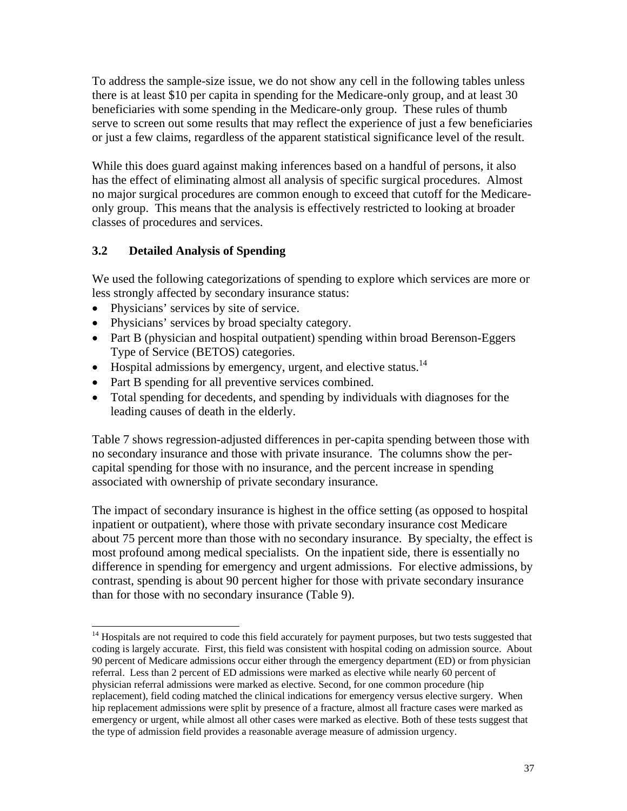To address the sample-size issue, we do not show any cell in the following tables unless there is at least \$10 per capita in spending for the Medicare-only group, and at least 30 beneficiaries with some spending in the Medicare-only group. These rules of thumb serve to screen out some results that may reflect the experience of just a few beneficiaries or just a few claims, regardless of the apparent statistical significance level of the result.

While this does guard against making inferences based on a handful of persons, it also has the effect of eliminating almost all analysis of specific surgical procedures. Almost no major surgical procedures are common enough to exceed that cutoff for the Medicareonly group. This means that the analysis is effectively restricted to looking at broader classes of procedures and services.

## **3.2 Detailed Analysis of Spending**

We used the following categorizations of spending to explore which services are more or less strongly affected by secondary insurance status:

- Physicians' services by site of service.
- Physicians' services by broad specialty category.
- Part B (physician and hospital outpatient) spending within broad Berenson-Eggers Type of Service (BETOS) categories.
- Hospital admissions by emergency, urgent, and elective status.<sup>14</sup>
- Part B spending for all preventive services combined.
- Total spending for decedents, and spending by individuals with diagnoses for the leading causes of death in the elderly.

Table 7 shows regression-adjusted differences in per-capita spending between those with no secondary insurance and those with private insurance. The columns show the percapital spending for those with no insurance, and the percent increase in spending associated with ownership of private secondary insurance.

The impact of secondary insurance is highest in the office setting (as opposed to hospital inpatient or outpatient), where those with private secondary insurance cost Medicare about 75 percent more than those with no secondary insurance. By specialty, the effect is most profound among medical specialists. On the inpatient side, there is essentially no difference in spending for emergency and urgent admissions. For elective admissions, by contrast, spending is about 90 percent higher for those with private secondary insurance than for those with no secondary insurance (Table 9).

l <sup>14</sup> Hospitals are not required to code this field accurately for payment purposes, but two tests suggested that coding is largely accurate. First, this field was consistent with hospital coding on admission source. About 90 percent of Medicare admissions occur either through the emergency department (ED) or from physician referral. Less than 2 percent of ED admissions were marked as elective while nearly 60 percent of physician referral admissions were marked as elective. Second, for one common procedure (hip replacement), field coding matched the clinical indications for emergency versus elective surgery. When hip replacement admissions were split by presence of a fracture, almost all fracture cases were marked as emergency or urgent, while almost all other cases were marked as elective. Both of these tests suggest that the type of admission field provides a reasonable average measure of admission urgency.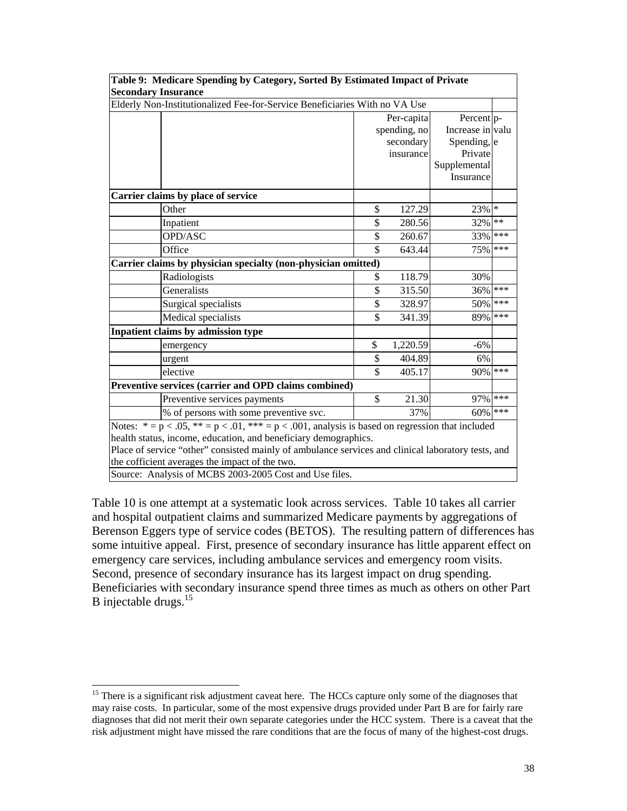| Table 9: Medicare Spending by Category, Sorted By Estimated Impact of Private                           |    |              |                           |     |  |  |  |  |
|---------------------------------------------------------------------------------------------------------|----|--------------|---------------------------|-----|--|--|--|--|
| <b>Secondary Insurance</b>                                                                              |    |              |                           |     |  |  |  |  |
| Elderly Non-Institutionalized Fee-for-Service Beneficiaries With no VA Use                              |    |              |                           |     |  |  |  |  |
|                                                                                                         |    | Per-capita   | Percent p-                |     |  |  |  |  |
|                                                                                                         |    | spending, no | Increase in valu          |     |  |  |  |  |
|                                                                                                         |    | secondary    | Spending, e               |     |  |  |  |  |
|                                                                                                         |    | insurance    | Private                   |     |  |  |  |  |
|                                                                                                         |    |              | Supplemental<br>Insurance |     |  |  |  |  |
|                                                                                                         |    |              |                           |     |  |  |  |  |
| Carrier claims by place of service                                                                      |    |              |                           |     |  |  |  |  |
| Other                                                                                                   | \$ | 127.29       | 23% *                     |     |  |  |  |  |
| Inpatient                                                                                               | \$ | 280.56       | 32% **                    |     |  |  |  |  |
| OPD/ASC                                                                                                 | \$ | 260.67       | 33%                       | *** |  |  |  |  |
| Office                                                                                                  | \$ | 643.44       | 75%                       | *** |  |  |  |  |
| Carrier claims by physician specialty (non-physician omitted)                                           |    |              |                           |     |  |  |  |  |
| Radiologists                                                                                            | \$ | 118.79       | 30%                       |     |  |  |  |  |
| Generalists                                                                                             | \$ | 315.50       | 36%                       | *** |  |  |  |  |
| Surgical specialists                                                                                    | \$ | 328.97       | 50%                       | *** |  |  |  |  |
| Medical specialists                                                                                     | \$ | 341.39       | 89%                       | *** |  |  |  |  |
| Inpatient claims by admission type                                                                      |    |              |                           |     |  |  |  |  |
| emergency                                                                                               | \$ | 1,220.59     | $-6%$                     |     |  |  |  |  |
| urgent                                                                                                  | \$ | 404.89       | 6%                        |     |  |  |  |  |
| elective                                                                                                | \$ | 405.17       | 90%                       | *** |  |  |  |  |
| Preventive services (carrier and OPD claims combined)                                                   |    |              |                           |     |  |  |  |  |
| Preventive services payments                                                                            | \$ | 21.30        | 97%                       | *** |  |  |  |  |
| % of persons with some preventive svc.                                                                  |    | 37%          | 60%                       | *** |  |  |  |  |
| Notes: $* = p < .05$ , $** = p < .01$ , $** = p < .001$ , analysis is based on regression that included |    |              |                           |     |  |  |  |  |
| health status, income, education, and beneficiary demographics.                                         |    |              |                           |     |  |  |  |  |
| Place of service "other" consisted mainly of ambulance services and clinical laboratory tests, and      |    |              |                           |     |  |  |  |  |
| the cofficient averages the impact of the two.                                                          |    |              |                           |     |  |  |  |  |
| Source: Analysis of MCBS 2003-2005 Cost and Use files.                                                  |    |              |                           |     |  |  |  |  |

Table 10 is one attempt at a systematic look across services. Table 10 takes all carrier and hospital outpatient claims and summarized Medicare payments by aggregations of Berenson Eggers type of service codes (BETOS). The resulting pattern of differences has some intuitive appeal. First, presence of secondary insurance has little apparent effect on emergency care services, including ambulance services and emergency room visits. Second, presence of secondary insurance has its largest impact on drug spending. Beneficiaries with secondary insurance spend three times as much as others on other Part B injectable drugs.<sup>15</sup>

 $\overline{a}$ 

<sup>&</sup>lt;sup>15</sup> There is a significant risk adjustment caveat here. The HCCs capture only some of the diagnoses that may raise costs. In particular, some of the most expensive drugs provided under Part B are for fairly rare diagnoses that did not merit their own separate categories under the HCC system. There is a caveat that the risk adjustment might have missed the rare conditions that are the focus of many of the highest-cost drugs.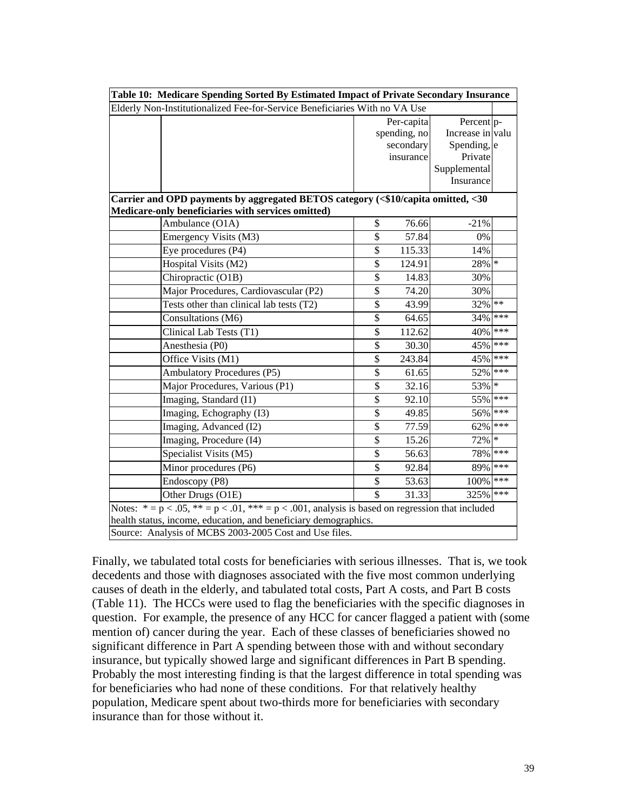| Table 10: Medicare Spending Sorted By Estimated Impact of Private Secondary Insurance                   |                          |              |                           |        |  |  |  |  |  |  |  |  |
|---------------------------------------------------------------------------------------------------------|--------------------------|--------------|---------------------------|--------|--|--|--|--|--|--|--|--|
| Elderly Non-Institutionalized Fee-for-Service Beneficiaries With no VA Use                              |                          |              |                           |        |  |  |  |  |  |  |  |  |
|                                                                                                         |                          | Per-capita   | Percent p-                |        |  |  |  |  |  |  |  |  |
|                                                                                                         |                          | spending, no | Increase in valu          |        |  |  |  |  |  |  |  |  |
|                                                                                                         |                          | secondary    | Spending, e               |        |  |  |  |  |  |  |  |  |
|                                                                                                         |                          | insurance    | Private                   |        |  |  |  |  |  |  |  |  |
|                                                                                                         |                          |              | Supplemental<br>Insurance |        |  |  |  |  |  |  |  |  |
|                                                                                                         |                          |              |                           |        |  |  |  |  |  |  |  |  |
| Carrier and OPD payments by aggregated BETOS category (<\$10/capita omitted, <30                        |                          |              |                           |        |  |  |  |  |  |  |  |  |
| Medicare-only beneficiaries with services omitted)                                                      |                          |              |                           |        |  |  |  |  |  |  |  |  |
| Ambulance (O1A)                                                                                         | \$                       | 76.66        | $-21%$                    |        |  |  |  |  |  |  |  |  |
| Emergency Visits (M3)                                                                                   | \$                       | 57.84        | 0%                        |        |  |  |  |  |  |  |  |  |
| Eye procedures (P4)                                                                                     | $\overline{\mathbb{S}}$  | 115.33       | 14%                       |        |  |  |  |  |  |  |  |  |
| Hospital Visits (M2)                                                                                    | $\overline{\$}$          | 124.91       | 28%                       | $\ast$ |  |  |  |  |  |  |  |  |
| Chiropractic (O1B)                                                                                      | \$                       | 14.83        | 30%                       |        |  |  |  |  |  |  |  |  |
| Major Procedures, Cardiovascular (P2)                                                                   | \$                       | 74.20        | 30%                       |        |  |  |  |  |  |  |  |  |
| Tests other than clinical lab tests (T2)                                                                | $\overline{\mathbb{S}}$  | 43.99        | 32%                       | $**$   |  |  |  |  |  |  |  |  |
| Consultations (M6)                                                                                      | \$                       | 64.65        | 34%                       | ***    |  |  |  |  |  |  |  |  |
| Clinical Lab Tests (T1)                                                                                 | $\overline{\mathbb{S}}$  | 112.62       | 40%                       | ***    |  |  |  |  |  |  |  |  |
| Anesthesia (P0)                                                                                         | \$                       | 30.30        | 45%                       | ***    |  |  |  |  |  |  |  |  |
| Office Visits (M1)                                                                                      | \$                       | 243.84       | 45%                       | ***    |  |  |  |  |  |  |  |  |
| <b>Ambulatory Procedures (P5)</b>                                                                       | \$                       | 61.65        | 52%                       | ***    |  |  |  |  |  |  |  |  |
| Major Procedures, Various (P1)                                                                          | \$                       | 32.16        | 53%                       | $\ast$ |  |  |  |  |  |  |  |  |
| Imaging, Standard (I1)                                                                                  | \$                       | 92.10        | 55%                       | ***    |  |  |  |  |  |  |  |  |
| Imaging, Echography (I3)                                                                                | $\overline{\mathcal{S}}$ | 49.85        | 56%                       | ***    |  |  |  |  |  |  |  |  |
| Imaging, Advanced (I2)                                                                                  | $\overline{\$}$          | 77.59        | 62%                       | ***    |  |  |  |  |  |  |  |  |
| Imaging, Procedure (I4)                                                                                 | \$                       | 15.26        | 72%                       | $\ast$ |  |  |  |  |  |  |  |  |
| Specialist Visits (M5)                                                                                  | \$                       | 56.63        | 78%                       | ***    |  |  |  |  |  |  |  |  |
| Minor procedures (P6)                                                                                   | $\overline{\mathbb{S}}$  | 92.84        | 89%                       | ***    |  |  |  |  |  |  |  |  |
| Endoscopy (P8)                                                                                          | $\overline{\mathcal{S}}$ | 53.63        | 100%                      | ***    |  |  |  |  |  |  |  |  |
| Other Drugs (O1E)                                                                                       | $\mathbb{S}$             | 31.33        | 325% ***                  |        |  |  |  |  |  |  |  |  |
| Notes: $* = p < .05$ , $** = p < .01$ , $** = p < .001$ , analysis is based on regression that included |                          |              |                           |        |  |  |  |  |  |  |  |  |
| health status, income, education, and beneficiary demographics.                                         |                          |              |                           |        |  |  |  |  |  |  |  |  |
| Source: Analysis of MCBS 2003-2005 Cost and Use files.                                                  |                          |              |                           |        |  |  |  |  |  |  |  |  |

Finally, we tabulated total costs for beneficiaries with serious illnesses. That is, we took decedents and those with diagnoses associated with the five most common underlying causes of death in the elderly, and tabulated total costs, Part A costs, and Part B costs (Table 11). The HCCs were used to flag the beneficiaries with the specific diagnoses in question. For example, the presence of any HCC for cancer flagged a patient with (some mention of) cancer during the year. Each of these classes of beneficiaries showed no significant difference in Part A spending between those with and without secondary insurance, but typically showed large and significant differences in Part B spending. Probably the most interesting finding is that the largest difference in total spending was for beneficiaries who had none of these conditions. For that relatively healthy population, Medicare spent about two-thirds more for beneficiaries with secondary insurance than for those without it.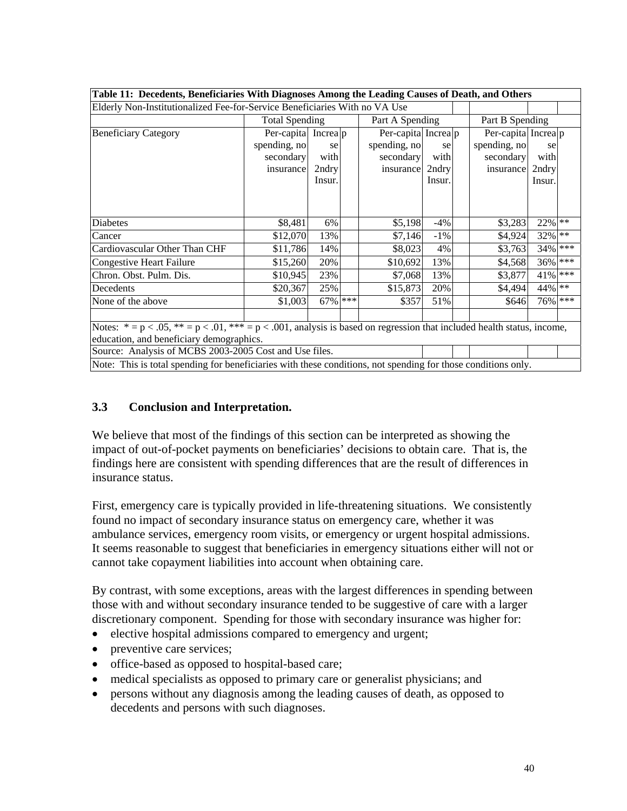| Table 11: Decedents, Beneficiaries With Diagnoses Among the Leading Causes of Death, and Others                                |                       |         |                 |                     |        |                 |                     |            |  |  |  |
|--------------------------------------------------------------------------------------------------------------------------------|-----------------------|---------|-----------------|---------------------|--------|-----------------|---------------------|------------|--|--|--|
| Elderly Non-Institutionalized Fee-for-Service Beneficiaries With no VA Use                                                     |                       |         |                 |                     |        |                 |                     |            |  |  |  |
|                                                                                                                                | <b>Total Spending</b> |         | Part A Spending |                     |        | Part B Spending |                     |            |  |  |  |
| <b>Beneficiary Category</b>                                                                                                    | Per-capita Increa p   |         |                 | Per-capita Increa p |        |                 | Per-capita Increa p |            |  |  |  |
|                                                                                                                                | spending, no          | se      |                 | spending, no        | se     |                 | spending, no        | se         |  |  |  |
|                                                                                                                                | secondary             | with    |                 | secondary           | with   |                 | secondary           | with       |  |  |  |
|                                                                                                                                | insurance             | 2ndry   |                 | insurance           | 2ndry  |                 | insurance           | 2ndry      |  |  |  |
|                                                                                                                                |                       | Insur.  |                 |                     | Insur. |                 |                     | Insur.     |  |  |  |
|                                                                                                                                |                       |         |                 |                     |        |                 |                     |            |  |  |  |
|                                                                                                                                |                       |         |                 |                     |        |                 |                     |            |  |  |  |
| Diabetes                                                                                                                       | \$8,481               | 6%      |                 | \$5,198             | $-4\%$ |                 | \$3,283             | 22% **     |  |  |  |
| Cancer                                                                                                                         | \$12,070              | 13%     |                 | \$7,146             | $-1\%$ |                 | \$4,924             | 32% **     |  |  |  |
| Cardiovascular Other Than CHF                                                                                                  | \$11,786              | 14%     |                 | \$8,023             | 4%     |                 | \$3,763             | 34% ***    |  |  |  |
| <b>Congestive Heart Failure</b>                                                                                                | \$15,260              | 20%     |                 | \$10,692            | 13%    |                 | \$4,568             | 36% ***    |  |  |  |
| Chron. Obst. Pulm. Dis.                                                                                                        | \$10,945              | 23%     |                 | \$7,068             | 13%    |                 | \$3,877             | $41\%$ *** |  |  |  |
| Decedents                                                                                                                      | \$20,367              | 25%     |                 | \$15,873            | 20%    |                 | \$4,494             | 44% **     |  |  |  |
| None of the above                                                                                                              | \$1,003               | 67% *** |                 | \$357               | 51%    |                 | \$646               | 76% ***    |  |  |  |
|                                                                                                                                |                       |         |                 |                     |        |                 |                     |            |  |  |  |
| Notes: $* = p < .05$ , $** = p < .01$ , $** = p < .001$ , analysis is based on regression that included health status, income, |                       |         |                 |                     |        |                 |                     |            |  |  |  |
| education, and beneficiary demographics.                                                                                       |                       |         |                 |                     |        |                 |                     |            |  |  |  |
| Source: Analysis of MCBS 2003-2005 Cost and Use files.                                                                         |                       |         |                 |                     |        |                 |                     |            |  |  |  |
| Note: This is total spending for beneficiaries with these conditions, not spending for those conditions only.                  |                       |         |                 |                     |        |                 |                     |            |  |  |  |

### **3.3 Conclusion and Interpretation.**

We believe that most of the findings of this section can be interpreted as showing the impact of out-of-pocket payments on beneficiaries' decisions to obtain care. That is, the findings here are consistent with spending differences that are the result of differences in insurance status.

First, emergency care is typically provided in life-threatening situations. We consistently found no impact of secondary insurance status on emergency care, whether it was ambulance services, emergency room visits, or emergency or urgent hospital admissions. It seems reasonable to suggest that beneficiaries in emergency situations either will not or cannot take copayment liabilities into account when obtaining care.

By contrast, with some exceptions, areas with the largest differences in spending between those with and without secondary insurance tended to be suggestive of care with a larger discretionary component. Spending for those with secondary insurance was higher for:

- elective hospital admissions compared to emergency and urgent;
- preventive care services;
- office-based as opposed to hospital-based care;
- medical specialists as opposed to primary care or generalist physicians; and
- persons without any diagnosis among the leading causes of death, as opposed to decedents and persons with such diagnoses.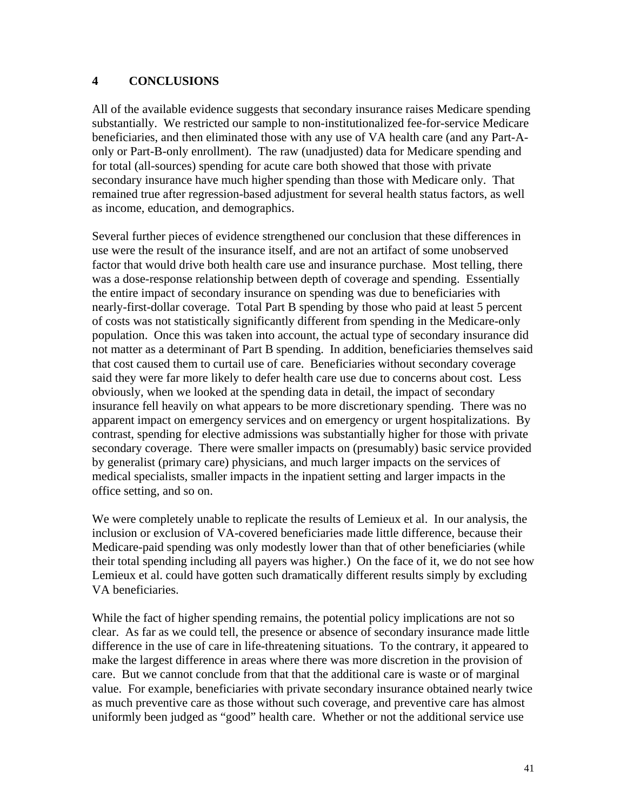#### **4 CONCLUSIONS**

All of the available evidence suggests that secondary insurance raises Medicare spending substantially. We restricted our sample to non-institutionalized fee-for-service Medicare beneficiaries, and then eliminated those with any use of VA health care (and any Part-Aonly or Part-B-only enrollment). The raw (unadjusted) data for Medicare spending and for total (all-sources) spending for acute care both showed that those with private secondary insurance have much higher spending than those with Medicare only. That remained true after regression-based adjustment for several health status factors, as well as income, education, and demographics.

Several further pieces of evidence strengthened our conclusion that these differences in use were the result of the insurance itself, and are not an artifact of some unobserved factor that would drive both health care use and insurance purchase. Most telling, there was a dose-response relationship between depth of coverage and spending. Essentially the entire impact of secondary insurance on spending was due to beneficiaries with nearly-first-dollar coverage. Total Part B spending by those who paid at least 5 percent of costs was not statistically significantly different from spending in the Medicare-only population. Once this was taken into account, the actual type of secondary insurance did not matter as a determinant of Part B spending. In addition, beneficiaries themselves said that cost caused them to curtail use of care. Beneficiaries without secondary coverage said they were far more likely to defer health care use due to concerns about cost. Less obviously, when we looked at the spending data in detail, the impact of secondary insurance fell heavily on what appears to be more discretionary spending. There was no apparent impact on emergency services and on emergency or urgent hospitalizations. By contrast, spending for elective admissions was substantially higher for those with private secondary coverage. There were smaller impacts on (presumably) basic service provided by generalist (primary care) physicians, and much larger impacts on the services of medical specialists, smaller impacts in the inpatient setting and larger impacts in the office setting, and so on.

We were completely unable to replicate the results of Lemieux et al. In our analysis, the inclusion or exclusion of VA-covered beneficiaries made little difference, because their Medicare-paid spending was only modestly lower than that of other beneficiaries (while their total spending including all payers was higher.) On the face of it, we do not see how Lemieux et al. could have gotten such dramatically different results simply by excluding VA beneficiaries.

While the fact of higher spending remains, the potential policy implications are not so clear. As far as we could tell, the presence or absence of secondary insurance made little difference in the use of care in life-threatening situations. To the contrary, it appeared to make the largest difference in areas where there was more discretion in the provision of care. But we cannot conclude from that that the additional care is waste or of marginal value. For example, beneficiaries with private secondary insurance obtained nearly twice as much preventive care as those without such coverage, and preventive care has almost uniformly been judged as "good" health care. Whether or not the additional service use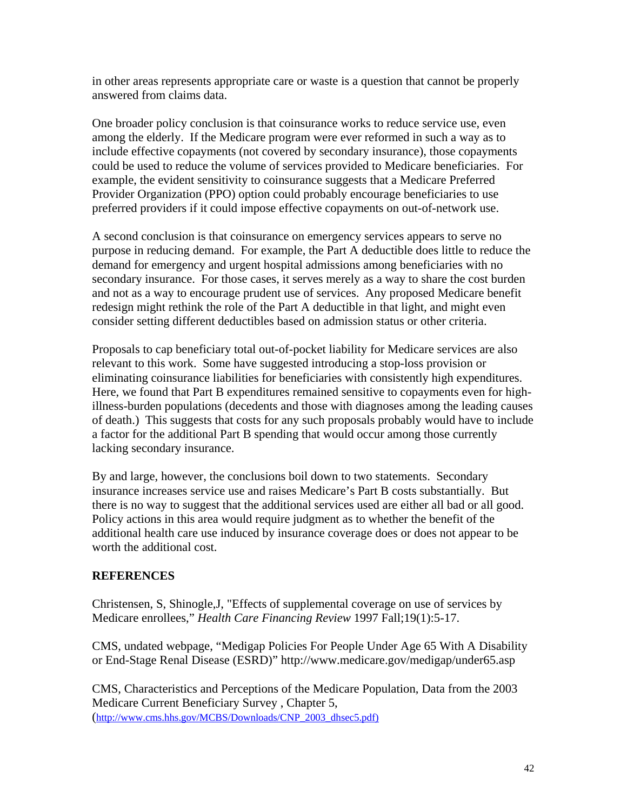in other areas represents appropriate care or waste is a question that cannot be properly answered from claims data.

One broader policy conclusion is that coinsurance works to reduce service use, even among the elderly. If the Medicare program were ever reformed in such a way as to include effective copayments (not covered by secondary insurance), those copayments could be used to reduce the volume of services provided to Medicare beneficiaries. For example, the evident sensitivity to coinsurance suggests that a Medicare Preferred Provider Organization (PPO) option could probably encourage beneficiaries to use preferred providers if it could impose effective copayments on out-of-network use.

A second conclusion is that coinsurance on emergency services appears to serve no purpose in reducing demand. For example, the Part A deductible does little to reduce the demand for emergency and urgent hospital admissions among beneficiaries with no secondary insurance. For those cases, it serves merely as a way to share the cost burden and not as a way to encourage prudent use of services. Any proposed Medicare benefit redesign might rethink the role of the Part A deductible in that light, and might even consider setting different deductibles based on admission status or other criteria.

Proposals to cap beneficiary total out-of-pocket liability for Medicare services are also relevant to this work. Some have suggested introducing a stop-loss provision or eliminating coinsurance liabilities for beneficiaries with consistently high expenditures. Here, we found that Part B expenditures remained sensitive to copayments even for highillness-burden populations (decedents and those with diagnoses among the leading causes of death.) This suggests that costs for any such proposals probably would have to include a factor for the additional Part B spending that would occur among those currently lacking secondary insurance.

By and large, however, the conclusions boil down to two statements. Secondary insurance increases service use and raises Medicare's Part B costs substantially. But there is no way to suggest that the additional services used are either all bad or all good. Policy actions in this area would require judgment as to whether the benefit of the additional health care use induced by insurance coverage does or does not appear to be worth the additional cost.

#### **REFERENCES**

Christensen, S, Shinogle,J, "Effects of supplemental coverage on use of services by Medicare enrollees," *Health Care Financing Review* 1997 Fall;19(1):5-17.

CMS, undated webpage, "Medigap Policies For People Under Age 65 With A Disability or End-Stage Renal Disease (ESRD)" http://www.medicare.gov/medigap/under65.asp

CMS, Characteristics and Perceptions of the Medicare Population, Data from the 2003 Medicare Current Beneficiary Survey , Chapter 5, (http://www.cms.hhs.gov/MCBS/Downloads/CNP\_2003\_dhsec5.pdf)